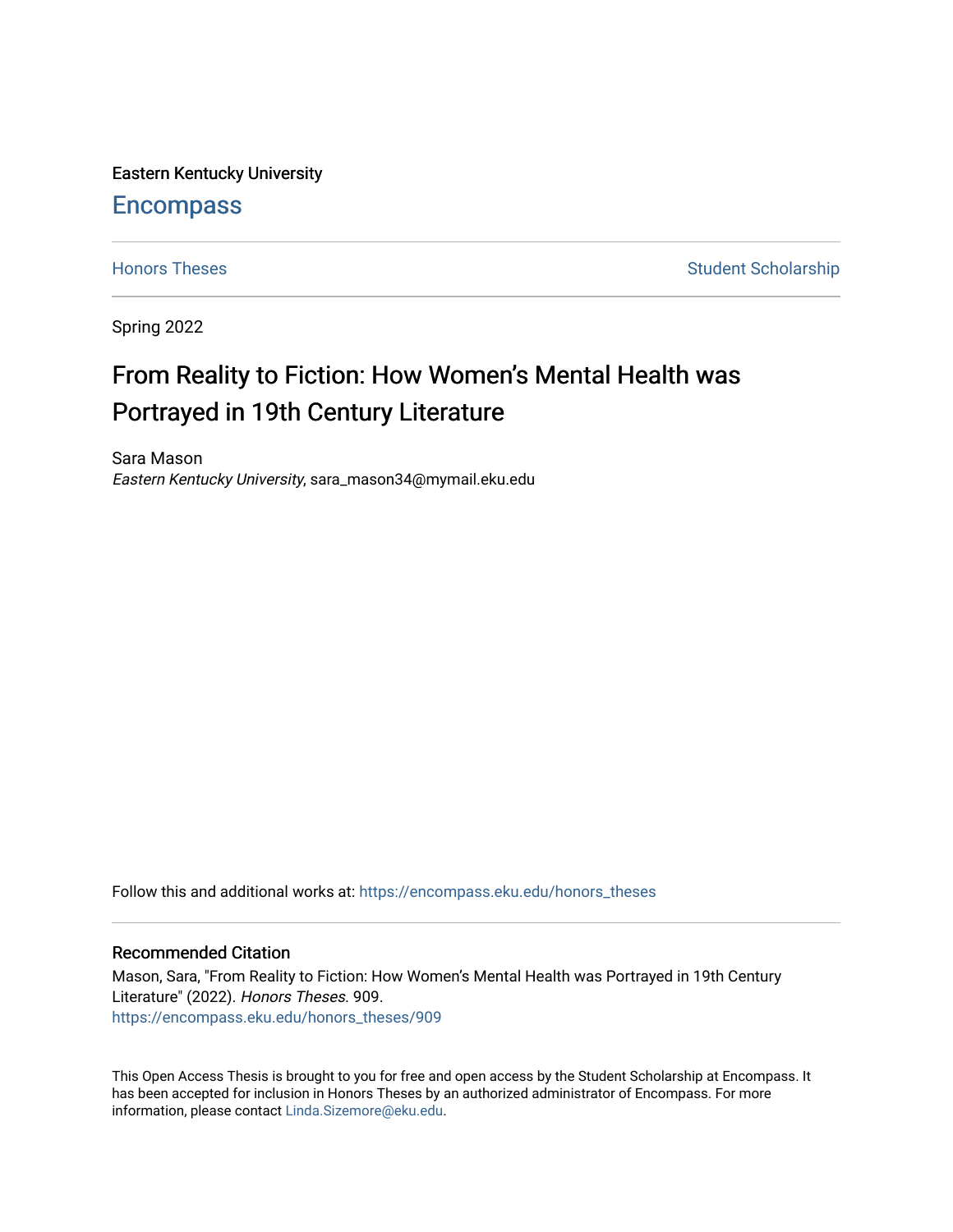Eastern Kentucky University

# **Encompass**

[Honors Theses](https://encompass.eku.edu/honors_theses) **Student Scholarship** Student Scholarship

Spring 2022

# From Reality to Fiction: How Women's Mental Health was Portrayed in 19th Century Literature

Sara Mason Eastern Kentucky University, sara\_mason34@mymail.eku.edu

Follow this and additional works at: [https://encompass.eku.edu/honors\\_theses](https://encompass.eku.edu/honors_theses?utm_source=encompass.eku.edu%2Fhonors_theses%2F909&utm_medium=PDF&utm_campaign=PDFCoverPages) 

### Recommended Citation

Mason, Sara, "From Reality to Fiction: How Women's Mental Health was Portrayed in 19th Century Literature" (2022). Honors Theses. 909. [https://encompass.eku.edu/honors\\_theses/909](https://encompass.eku.edu/honors_theses/909?utm_source=encompass.eku.edu%2Fhonors_theses%2F909&utm_medium=PDF&utm_campaign=PDFCoverPages) 

This Open Access Thesis is brought to you for free and open access by the Student Scholarship at Encompass. It has been accepted for inclusion in Honors Theses by an authorized administrator of Encompass. For more information, please contact [Linda.Sizemore@eku.edu.](mailto:Linda.Sizemore@eku.edu)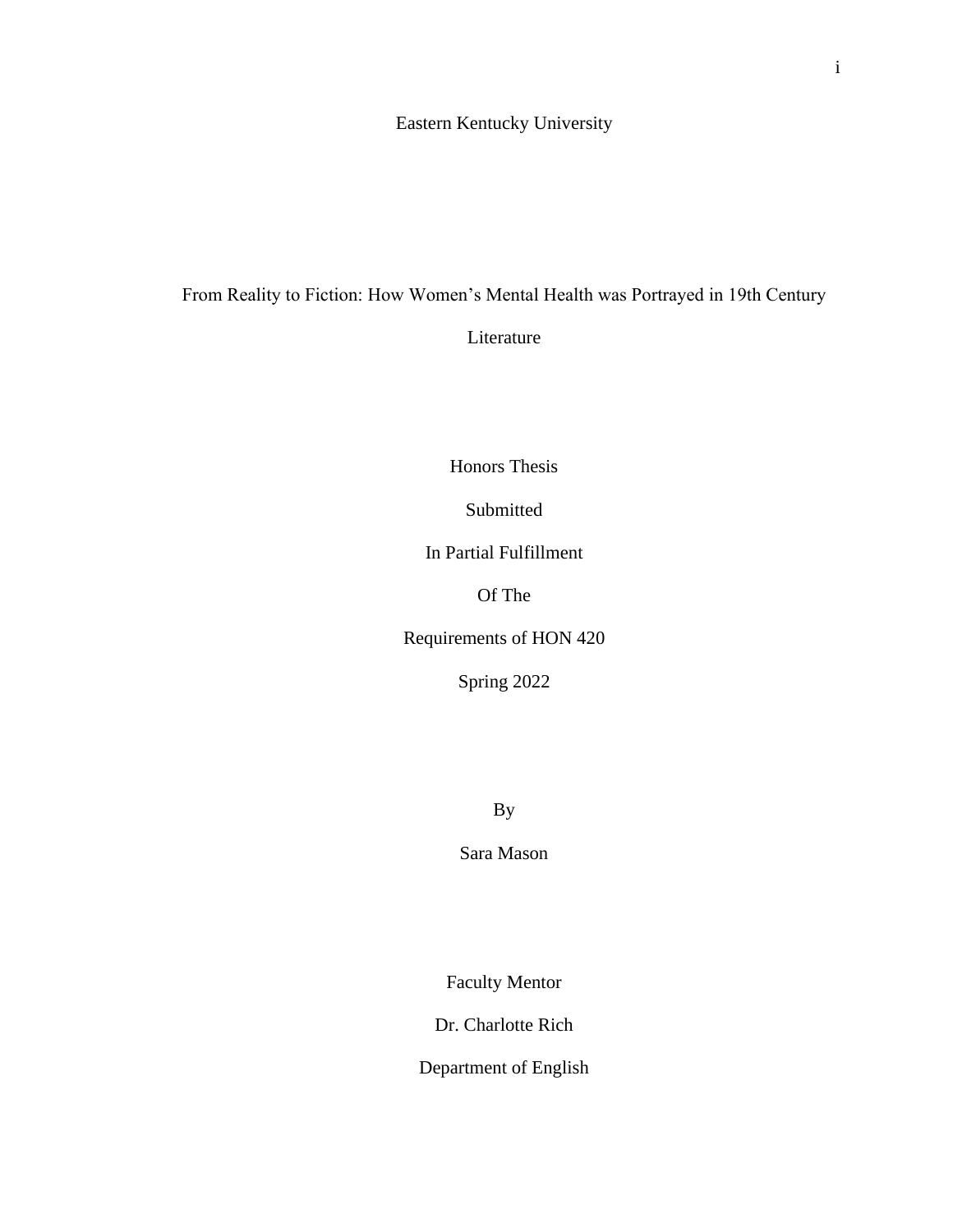## Eastern Kentucky University

# From Reality to Fiction: How Women's Mental Health was Portrayed in 19th Century

Literature

Honors Thesis

Submitted

In Partial Fulfillment

Of The

Requirements of HON 420

Spring 2022

By

Sara Mason

Faculty Mentor

Dr. Charlotte Rich

Department of English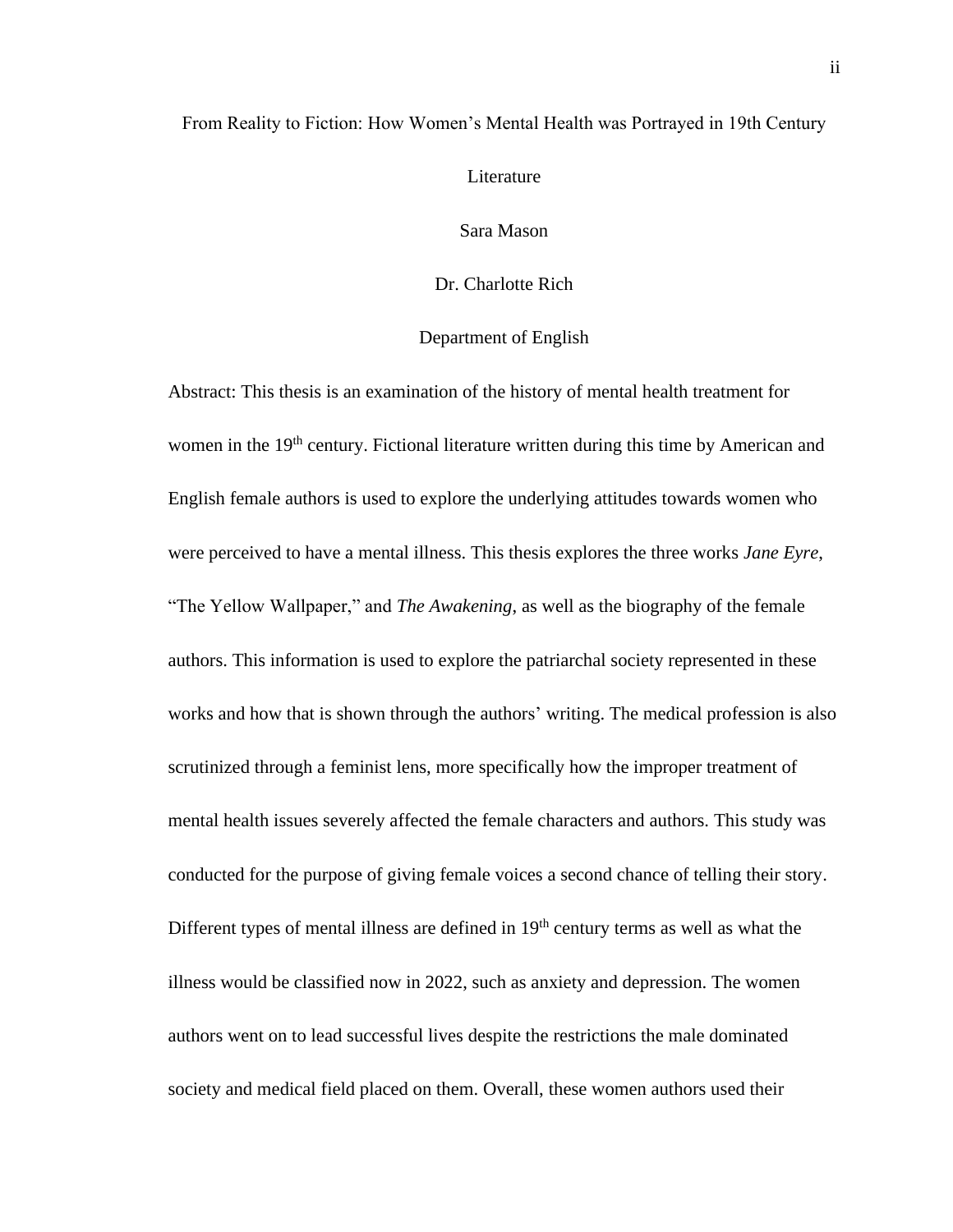### From Reality to Fiction: How Women's Mental Health was Portrayed in 19th Century

Literature

Sara Mason

Dr. Charlotte Rich

### Department of English

Abstract: This thesis is an examination of the history of mental health treatment for women in the 19<sup>th</sup> century. Fictional literature written during this time by American and English female authors is used to explore the underlying attitudes towards women who were perceived to have a mental illness. This thesis explores the three works *Jane Eyre*, "The Yellow Wallpaper," and *The Awakening*, as well as the biography of the female authors. This information is used to explore the patriarchal society represented in these works and how that is shown through the authors' writing. The medical profession is also scrutinized through a feminist lens, more specifically how the improper treatment of mental health issues severely affected the female characters and authors. This study was conducted for the purpose of giving female voices a second chance of telling their story. Different types of mental illness are defined in  $19<sup>th</sup>$  century terms as well as what the illness would be classified now in 2022, such as anxiety and depression. The women authors went on to lead successful lives despite the restrictions the male dominated society and medical field placed on them. Overall, these women authors used their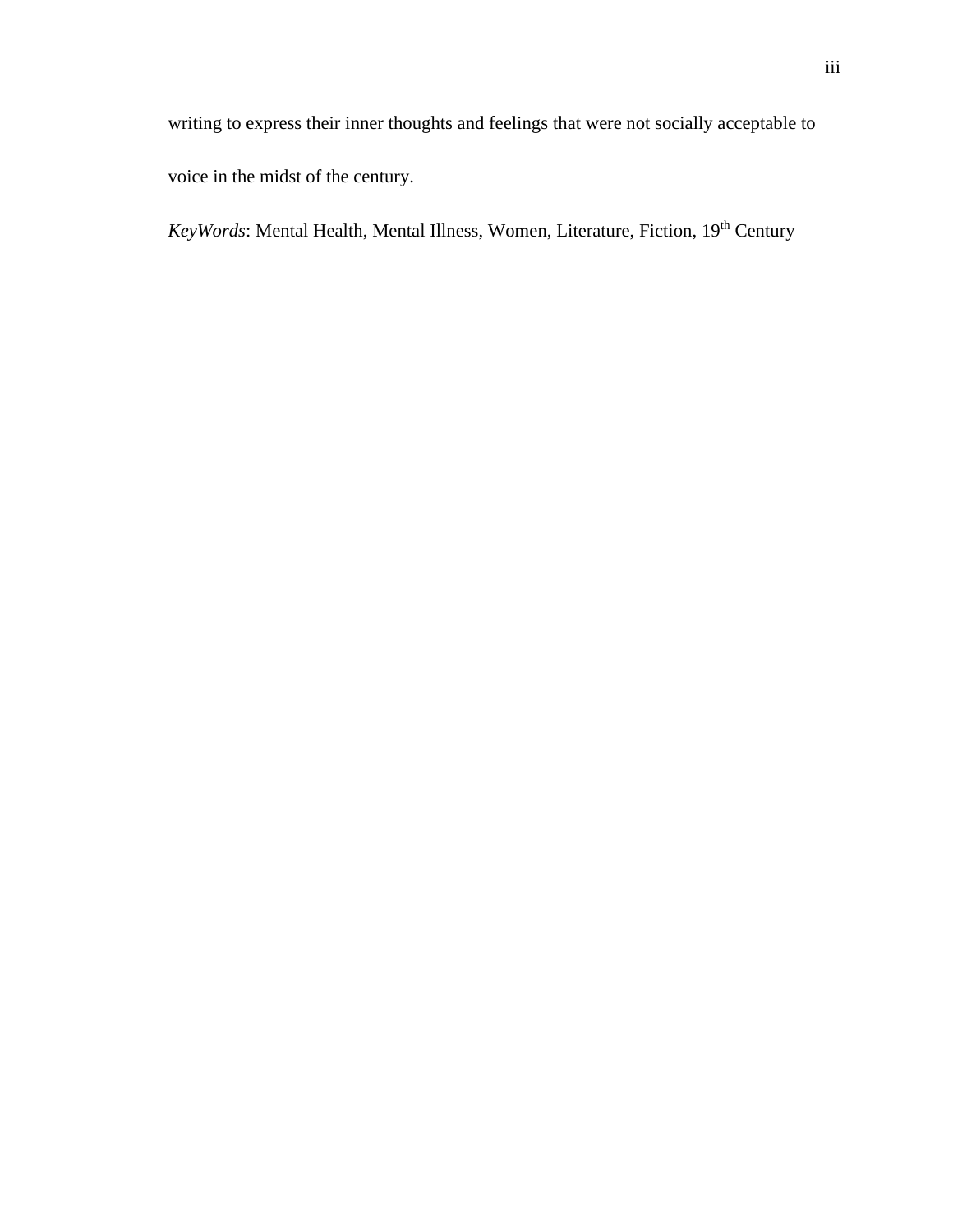*KeyWords*: Mental Health, Mental Illness, Women, Literature, Fiction, 19th Century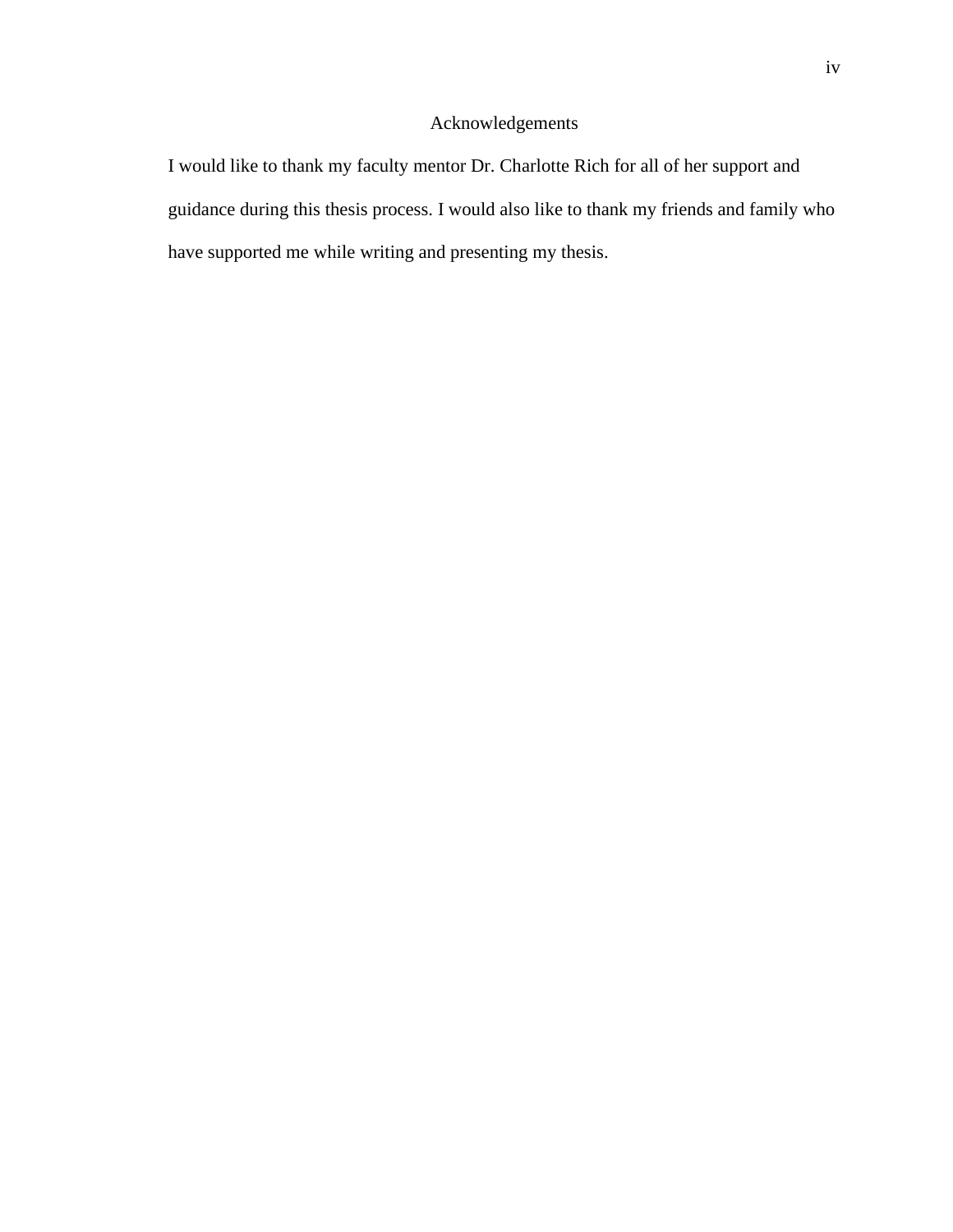### Acknowledgements

I would like to thank my faculty mentor Dr. Charlotte Rich for all of her support and guidance during this thesis process. I would also like to thank my friends and family who have supported me while writing and presenting my thesis.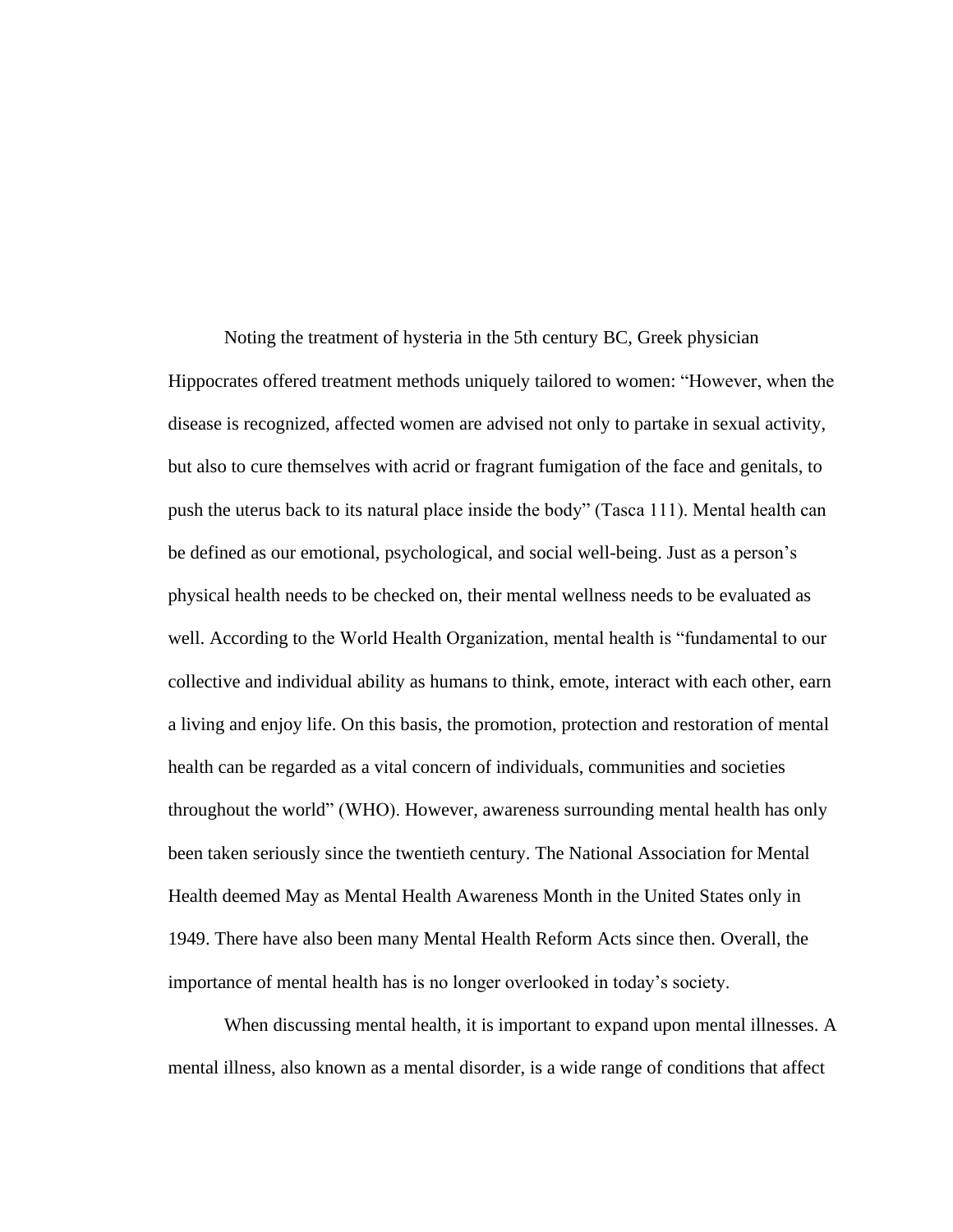Noting the treatment of hysteria in the 5th century BC, Greek physician Hippocrates offered treatment methods uniquely tailored to women: "However, when the disease is recognized, affected women are advised not only to partake in sexual activity, but also to cure themselves with acrid or fragrant fumigation of the face and genitals, to push the uterus back to its natural place inside the body" (Tasca 111). Mental health can be defined as our emotional, psychological, and social well-being. Just as a person's physical health needs to be checked on, their mental wellness needs to be evaluated as well. According to the World Health Organization, mental health is "fundamental to our collective and individual ability as humans to think, emote, interact with each other, earn a living and enjoy life. On this basis, the promotion, protection and restoration of mental health can be regarded as a vital concern of individuals, communities and societies throughout the world" (WHO). However, awareness surrounding mental health has only been taken seriously since the twentieth century. The National Association for Mental Health deemed May as Mental Health Awareness Month in the United States only in 1949. There have also been many Mental Health Reform Acts since then. Overall, the importance of mental health has is no longer overlooked in today's society.

When discussing mental health, it is important to expand upon mental illnesses. A mental illness, also known as a mental disorder, is a wide range of conditions that affect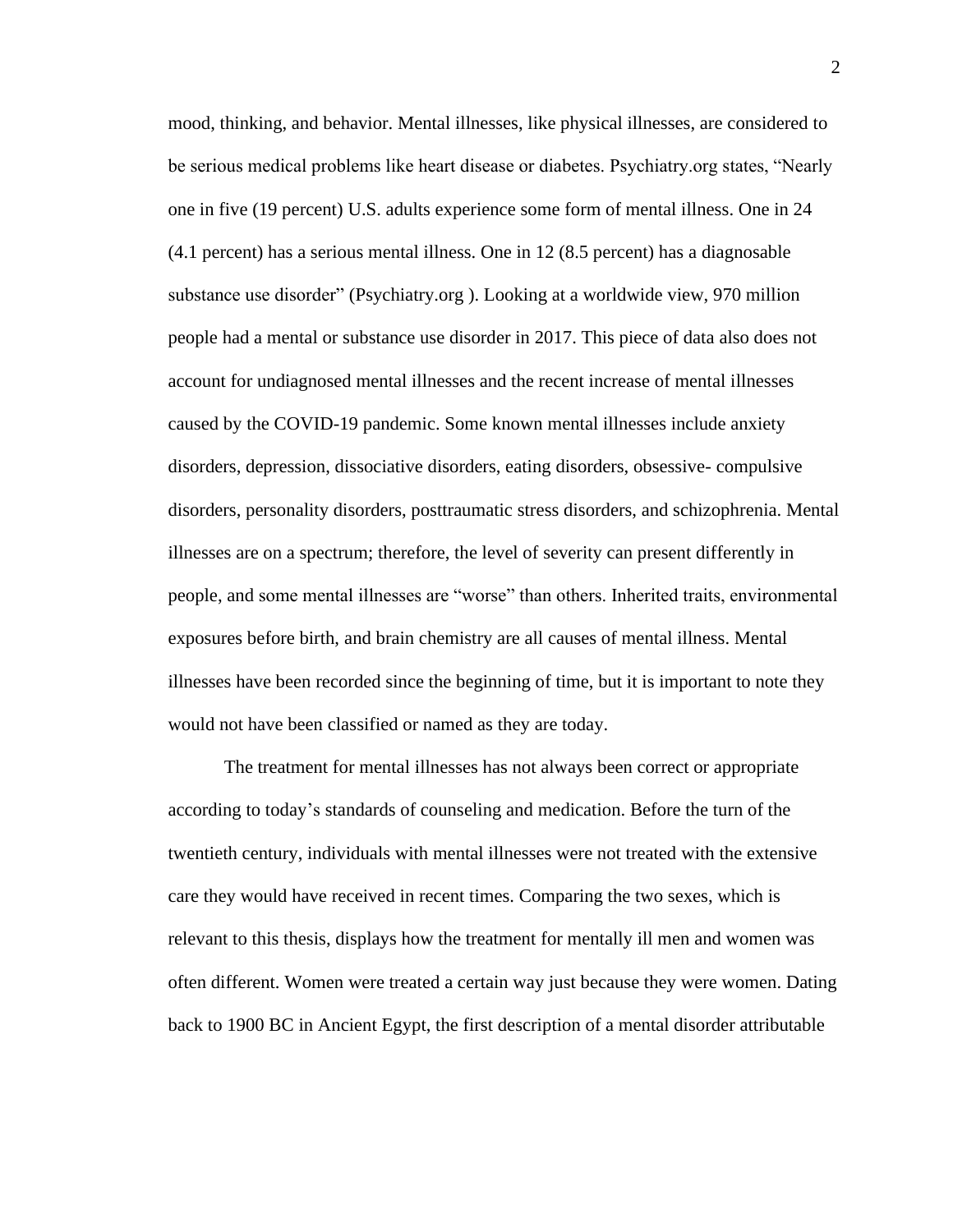mood, thinking, and behavior. Mental illnesses, like physical illnesses, are considered to be serious medical problems like heart disease or diabetes. Psychiatry.org states, "Nearly one in five (19 percent) U.S. adults experience some form of mental illness. One in 24 (4.1 percent) has a serious mental illness. One in 12 (8.5 percent) has a diagnosable substance use disorder" (Psychiatry.org ). Looking at a worldwide view, 970 million people had a mental or substance use disorder in 2017. This piece of data also does not account for undiagnosed mental illnesses and the recent increase of mental illnesses caused by the COVID-19 pandemic. Some known mental illnesses include anxiety disorders, depression, dissociative disorders, eating disorders, obsessive- compulsive disorders, personality disorders, posttraumatic stress disorders, and schizophrenia. Mental illnesses are on a spectrum; therefore, the level of severity can present differently in people, and some mental illnesses are "worse" than others. Inherited traits, environmental exposures before birth, and brain chemistry are all causes of mental illness. Mental illnesses have been recorded since the beginning of time, but it is important to note they would not have been classified or named as they are today.

The treatment for mental illnesses has not always been correct or appropriate according to today's standards of counseling and medication. Before the turn of the twentieth century, individuals with mental illnesses were not treated with the extensive care they would have received in recent times. Comparing the two sexes, which is relevant to this thesis, displays how the treatment for mentally ill men and women was often different. Women were treated a certain way just because they were women. Dating back to 1900 BC in Ancient Egypt, the first description of a mental disorder attributable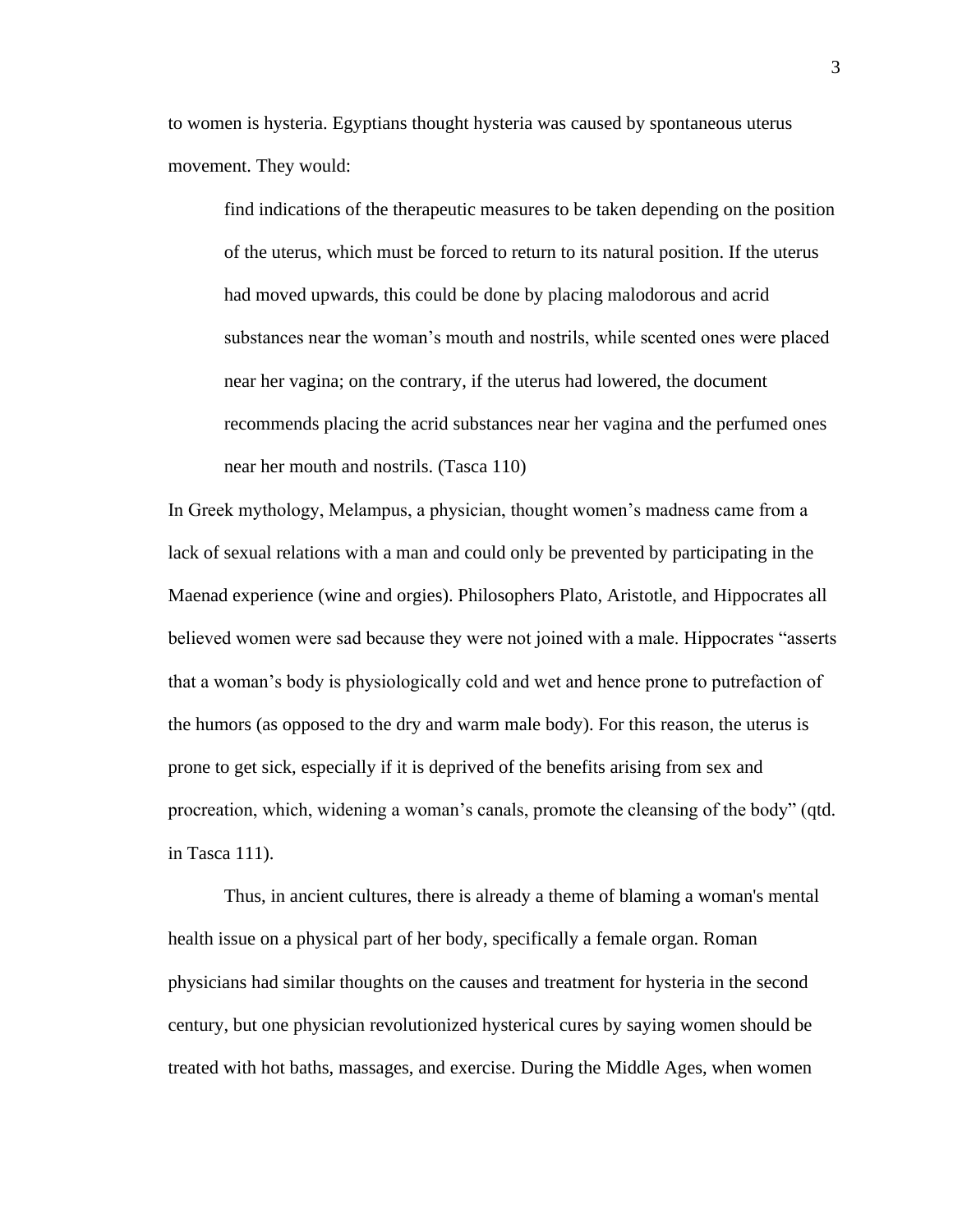to women is hysteria. Egyptians thought hysteria was caused by spontaneous uterus movement. They would:

find indications of the therapeutic measures to be taken depending on the position of the uterus, which must be forced to return to its natural position. If the uterus had moved upwards, this could be done by placing malodorous and acrid substances near the woman's mouth and nostrils, while scented ones were placed near her vagina; on the contrary, if the uterus had lowered, the document recommends placing the acrid substances near her vagina and the perfumed ones near her mouth and nostrils. (Tasca 110)

In Greek mythology, Melampus, a physician, thought women's madness came from a lack of sexual relations with a man and could only be prevented by participating in the Maenad experience (wine and orgies). Philosophers Plato, Aristotle, and Hippocrates all believed women were sad because they were not joined with a male. Hippocrates "asserts that a woman's body is physiologically cold and wet and hence prone to putrefaction of the humors (as opposed to the dry and warm male body). For this reason, the uterus is prone to get sick, especially if it is deprived of the benefits arising from sex and procreation, which, widening a woman's canals, promote the cleansing of the body" (qtd. in Tasca 111).

Thus, in ancient cultures, there is already a theme of blaming a woman's mental health issue on a physical part of her body, specifically a female organ. Roman physicians had similar thoughts on the causes and treatment for hysteria in the second century, but one physician revolutionized hysterical cures by saying women should be treated with hot baths, massages, and exercise. During the Middle Ages, when women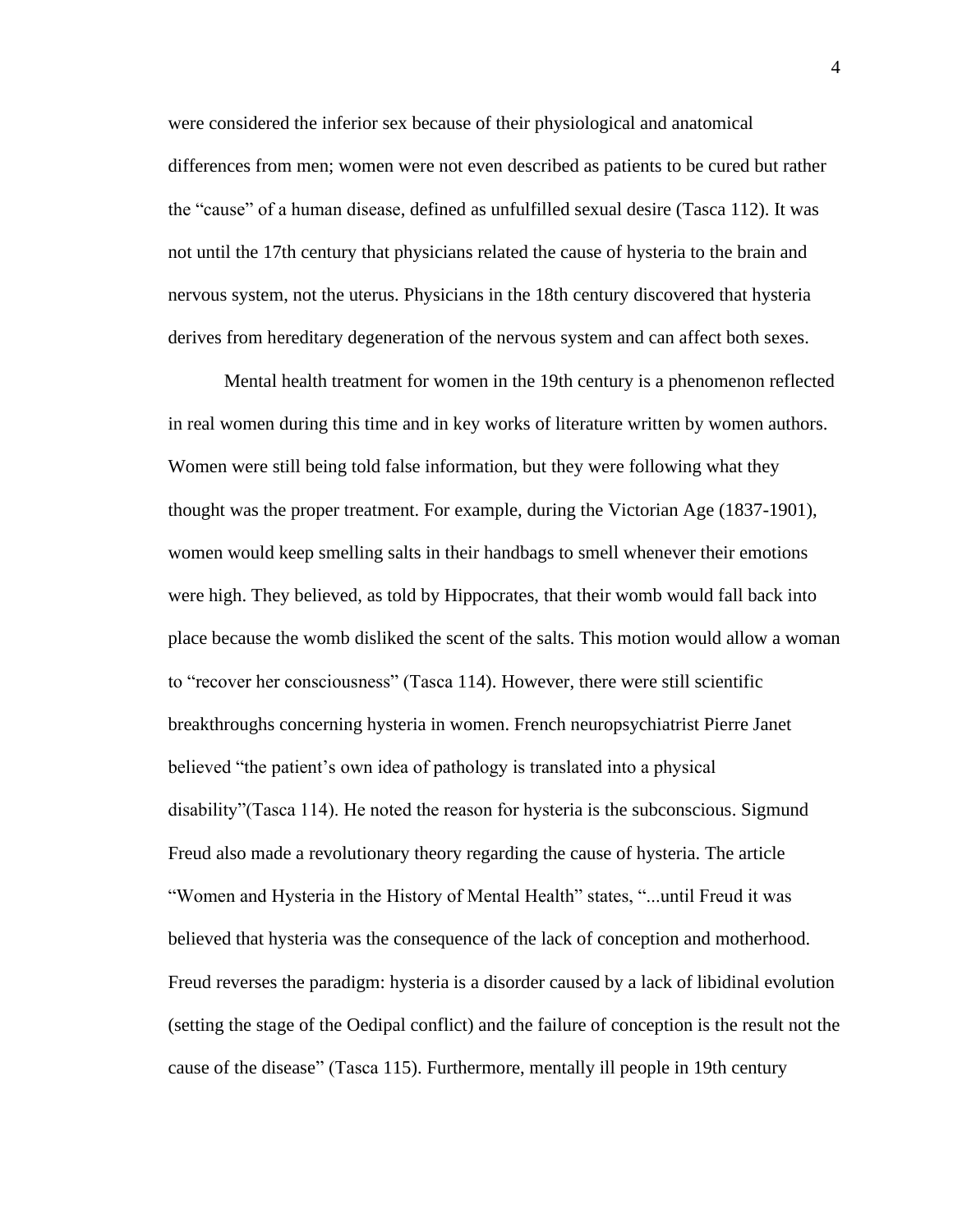were considered the inferior sex because of their physiological and anatomical differences from men; women were not even described as patients to be cured but rather the "cause" of a human disease, defined as unfulfilled sexual desire (Tasca 112). It was not until the 17th century that physicians related the cause of hysteria to the brain and nervous system, not the uterus. Physicians in the 18th century discovered that hysteria derives from hereditary degeneration of the nervous system and can affect both sexes.

Mental health treatment for women in the 19th century is a phenomenon reflected in real women during this time and in key works of literature written by women authors. Women were still being told false information, but they were following what they thought was the proper treatment. For example, during the Victorian Age (1837-1901), women would keep smelling salts in their handbags to smell whenever their emotions were high. They believed, as told by Hippocrates, that their womb would fall back into place because the womb disliked the scent of the salts. This motion would allow a woman to "recover her consciousness" (Tasca 114). However, there were still scientific breakthroughs concerning hysteria in women. French neuropsychiatrist Pierre Janet believed "the patient's own idea of pathology is translated into a physical disability"(Tasca 114). He noted the reason for hysteria is the subconscious. Sigmund Freud also made a revolutionary theory regarding the cause of hysteria. The article "Women and Hysteria in the History of Mental Health" states, "...until Freud it was believed that hysteria was the consequence of the lack of conception and motherhood. Freud reverses the paradigm: hysteria is a disorder caused by a lack of libidinal evolution (setting the stage of the Oedipal conflict) and the failure of conception is the result not the cause of the disease" (Tasca 115). Furthermore, mentally ill people in 19th century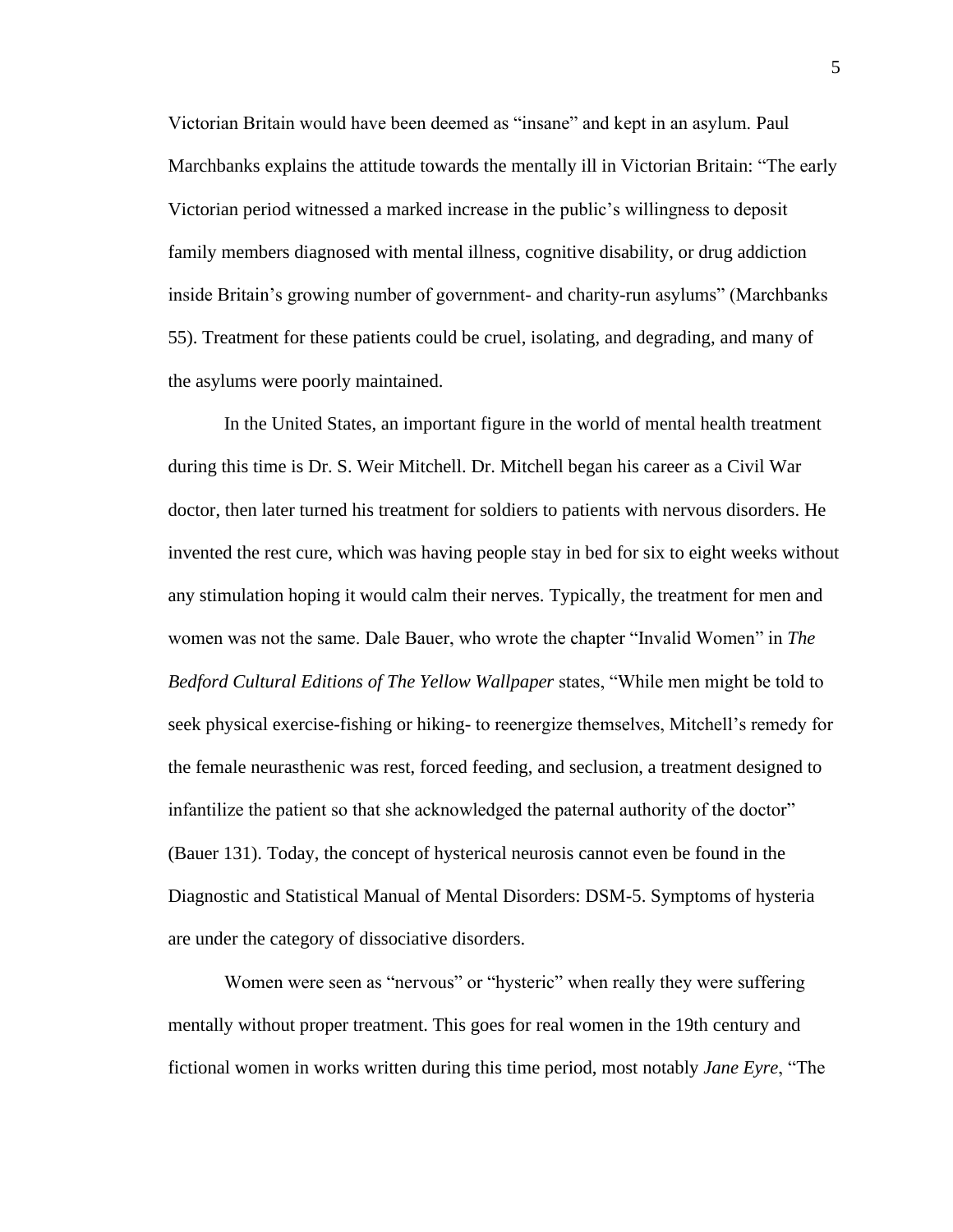Victorian Britain would have been deemed as "insane" and kept in an asylum. Paul Marchbanks explains the attitude towards the mentally ill in Victorian Britain: "The early Victorian period witnessed a marked increase in the public's willingness to deposit family members diagnosed with mental illness, cognitive disability, or drug addiction inside Britain's growing number of government- and charity-run asylums" (Marchbanks 55). Treatment for these patients could be cruel, isolating, and degrading, and many of the asylums were poorly maintained.

In the United States, an important figure in the world of mental health treatment during this time is Dr. S. Weir Mitchell. Dr. Mitchell began his career as a Civil War doctor, then later turned his treatment for soldiers to patients with nervous disorders. He invented the rest cure, which was having people stay in bed for six to eight weeks without any stimulation hoping it would calm their nerves. Typically, the treatment for men and women was not the same. Dale Bauer, who wrote the chapter "Invalid Women" in *The Bedford Cultural Editions of The Yellow Wallpaper* states, "While men might be told to seek physical exercise-fishing or hiking- to reenergize themselves, Mitchell's remedy for the female neurasthenic was rest, forced feeding, and seclusion, a treatment designed to infantilize the patient so that she acknowledged the paternal authority of the doctor" (Bauer 131). Today, the concept of hysterical neurosis cannot even be found in the Diagnostic and Statistical Manual of Mental Disorders: DSM-5. Symptoms of hysteria are under the category of dissociative disorders.

Women were seen as "nervous" or "hysteric" when really they were suffering mentally without proper treatment. This goes for real women in the 19th century and fictional women in works written during this time period, most notably *Jane Eyre*, "The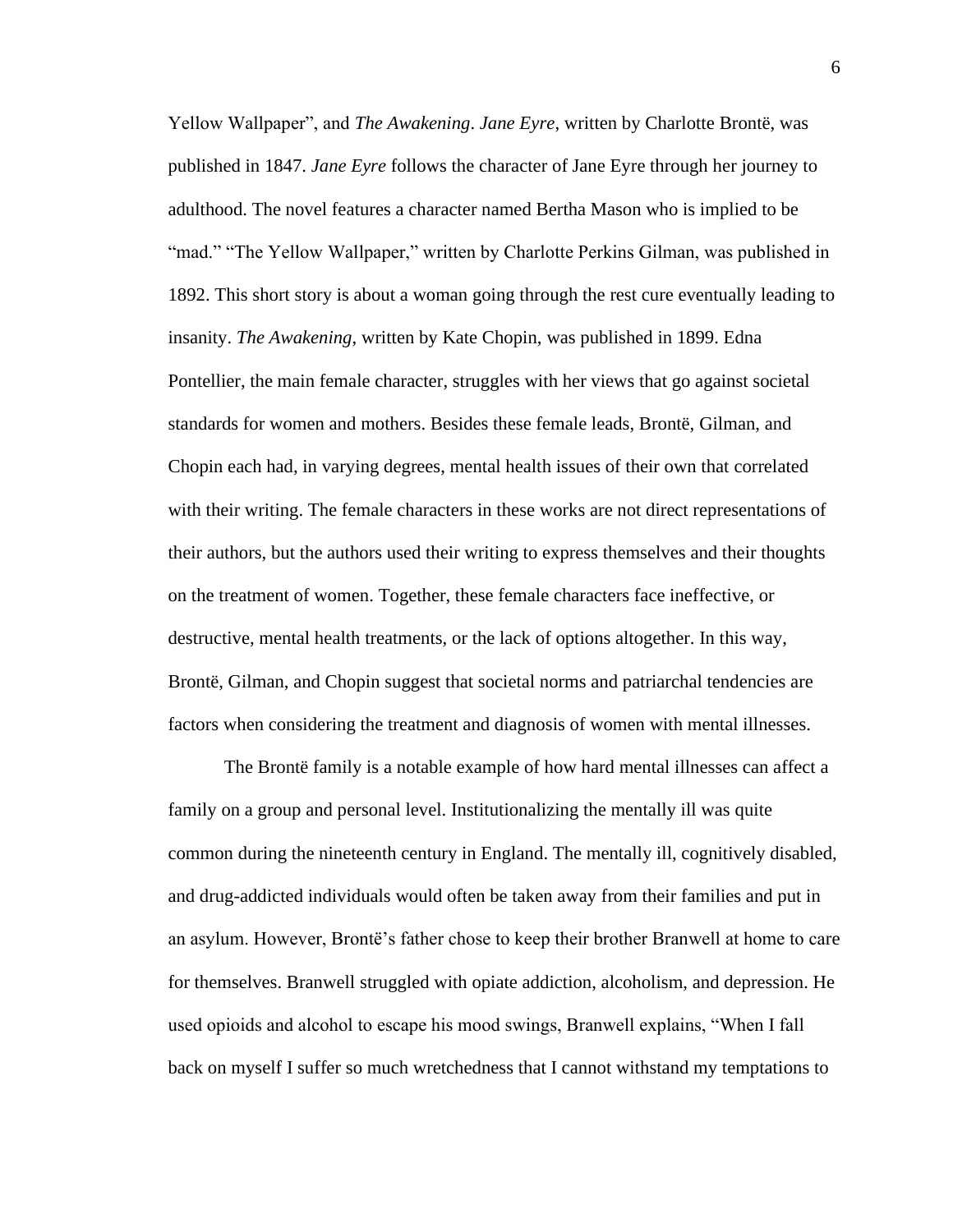Yellow Wallpaper", and *The Awakening*. *Jane Eyre*, written by Charlotte Brontë, was published in 1847. *Jane Eyre* follows the character of Jane Eyre through her journey to adulthood. The novel features a character named Bertha Mason who is implied to be "mad." "The Yellow Wallpaper," written by Charlotte Perkins Gilman, was published in 1892. This short story is about a woman going through the rest cure eventually leading to insanity. *The Awakening*, written by Kate Chopin, was published in 1899. Edna Pontellier, the main female character, struggles with her views that go against societal standards for women and mothers. Besides these female leads, Brontë, Gilman, and Chopin each had, in varying degrees, mental health issues of their own that correlated with their writing. The female characters in these works are not direct representations of their authors, but the authors used their writing to express themselves and their thoughts on the treatment of women. Together, these female characters face ineffective, or destructive, mental health treatments, or the lack of options altogether. In this way, Brontë, Gilman, and Chopin suggest that societal norms and patriarchal tendencies are factors when considering the treatment and diagnosis of women with mental illnesses.

The Brontë family is a notable example of how hard mental illnesses can affect a family on a group and personal level. Institutionalizing the mentally ill was quite common during the nineteenth century in England. The mentally ill, cognitively disabled, and drug-addicted individuals would often be taken away from their families and put in an asylum. However, Brontë's father chose to keep their brother Branwell at home to care for themselves. Branwell struggled with opiate addiction, alcoholism, and depression. He used opioids and alcohol to escape his mood swings, Branwell explains, "When I fall back on myself I suffer so much wretchedness that I cannot withstand my temptations to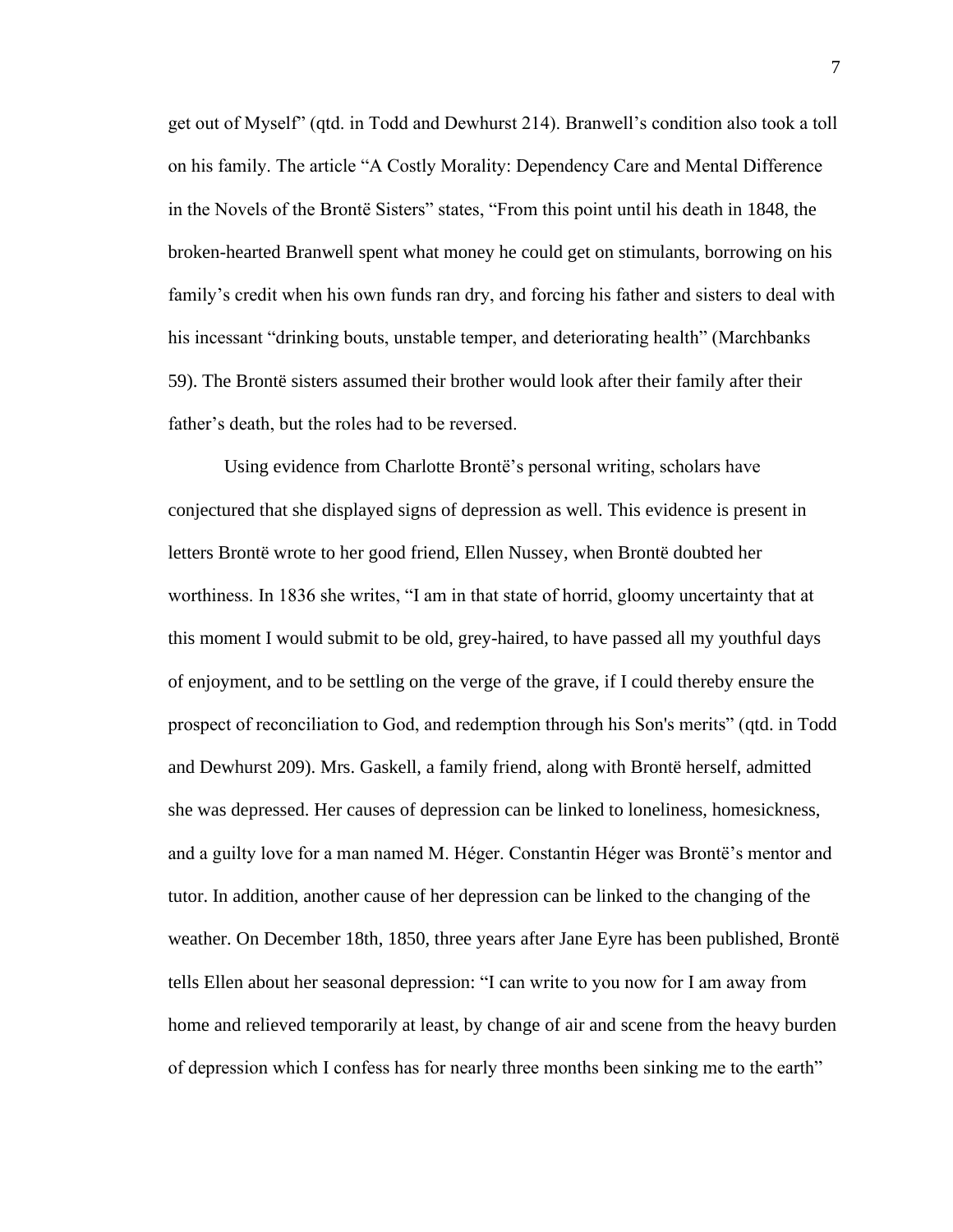get out of Myself" (qtd. in Todd and Dewhurst 214). Branwell's condition also took a toll on his family. The article "A Costly Morality: Dependency Care and Mental Difference in the Novels of the Brontë Sisters" states, "From this point until his death in 1848, the broken-hearted Branwell spent what money he could get on stimulants, borrowing on his family's credit when his own funds ran dry, and forcing his father and sisters to deal with his incessant "drinking bouts, unstable temper, and deteriorating health" (Marchbanks 59). The Brontë sisters assumed their brother would look after their family after their father's death, but the roles had to be reversed.

Using evidence from Charlotte Brontë's personal writing, scholars have conjectured that she displayed signs of depression as well. This evidence is present in letters Brontë wrote to her good friend, Ellen Nussey, when Brontë doubted her worthiness. In 1836 she writes, "I am in that state of horrid, gloomy uncertainty that at this moment I would submit to be old, grey-haired, to have passed all my youthful days of enjoyment, and to be settling on the verge of the grave, if I could thereby ensure the prospect of reconciliation to God, and redemption through his Son's merits" (qtd. in Todd and Dewhurst 209). Mrs. Gaskell, a family friend, along with Brontë herself, admitted she was depressed. Her causes of depression can be linked to loneliness, homesickness, and a guilty love for a man named M. Héger. Constantin Héger was Brontë's mentor and tutor. In addition, another cause of her depression can be linked to the changing of the weather. On December 18th, 1850, three years after Jane Eyre has been published, Brontë tells Ellen about her seasonal depression: "I can write to you now for I am away from home and relieved temporarily at least, by change of air and scene from the heavy burden of depression which I confess has for nearly three months been sinking me to the earth"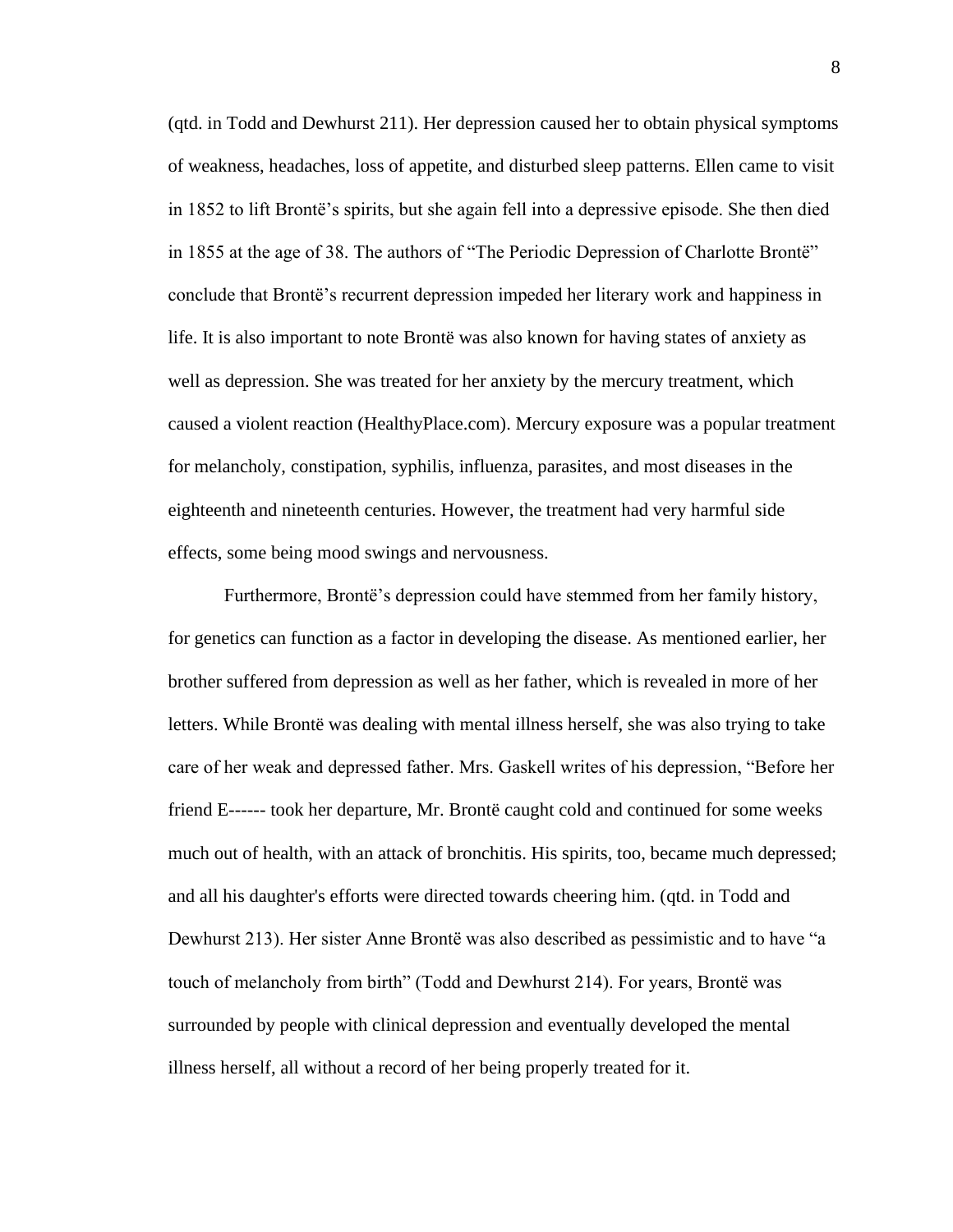(qtd. in Todd and Dewhurst 211). Her depression caused her to obtain physical symptoms of weakness, headaches, loss of appetite, and disturbed sleep patterns. Ellen came to visit in 1852 to lift Brontë's spirits, but she again fell into a depressive episode. She then died in 1855 at the age of 38. The authors of "The Periodic Depression of Charlotte Brontë" conclude that Brontë's recurrent depression impeded her literary work and happiness in life. It is also important to note Brontë was also known for having states of anxiety as well as depression. She was treated for her anxiety by the mercury treatment, which caused a violent reaction (HealthyPlace.com). Mercury exposure was a popular treatment for melancholy, constipation, syphilis, influenza, parasites, and most diseases in the eighteenth and nineteenth centuries. However, the treatment had very harmful side effects, some being mood swings and nervousness.

Furthermore, Brontë's depression could have stemmed from her family history, for genetics can function as a factor in developing the disease. As mentioned earlier, her brother suffered from depression as well as her father, which is revealed in more of her letters. While Brontë was dealing with mental illness herself, she was also trying to take care of her weak and depressed father. Mrs. Gaskell writes of his depression, "Before her friend E------ took her departure, Mr. Brontë caught cold and continued for some weeks much out of health, with an attack of bronchitis. His spirits, too, became much depressed; and all his daughter's efforts were directed towards cheering him. (qtd. in Todd and Dewhurst 213). Her sister Anne Brontë was also described as pessimistic and to have "a touch of melancholy from birth" (Todd and Dewhurst 214). For years, Brontë was surrounded by people with clinical depression and eventually developed the mental illness herself, all without a record of her being properly treated for it.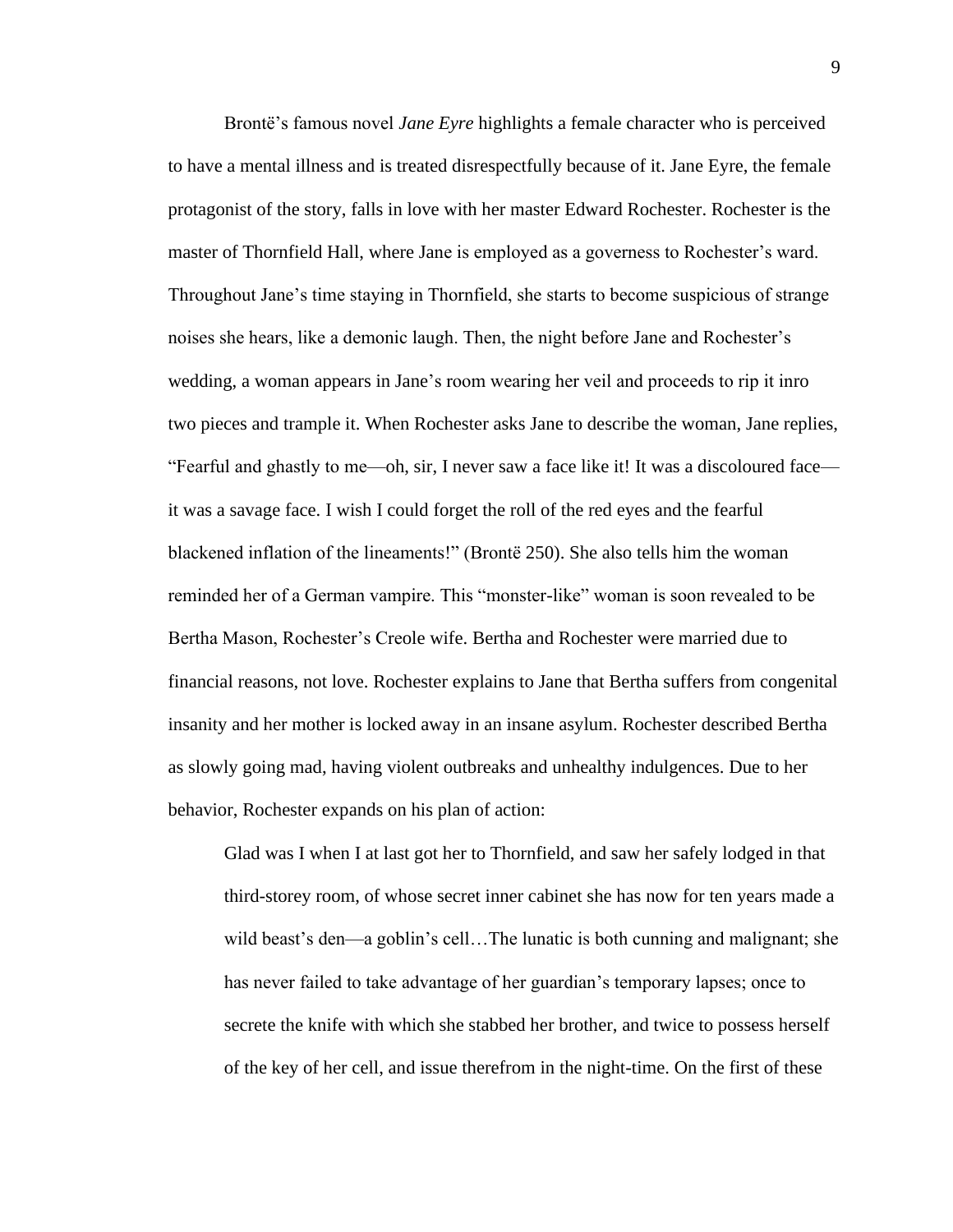Brontë's famous novel *Jane Eyre* highlights a female character who is perceived to have a mental illness and is treated disrespectfully because of it. Jane Eyre, the female protagonist of the story, falls in love with her master Edward Rochester. Rochester is the master of Thornfield Hall, where Jane is employed as a governess to Rochester's ward. Throughout Jane's time staying in Thornfield, she starts to become suspicious of strange noises she hears, like a demonic laugh. Then, the night before Jane and Rochester's wedding, a woman appears in Jane's room wearing her veil and proceeds to rip it inro two pieces and trample it. When Rochester asks Jane to describe the woman, Jane replies, "Fearful and ghastly to me—oh, sir, I never saw a face like it! It was a discoloured face it was a savage face. I wish I could forget the roll of the red eyes and the fearful blackened inflation of the lineaments!" (Brontë 250). She also tells him the woman reminded her of a German vampire. This "monster-like" woman is soon revealed to be Bertha Mason, Rochester's Creole wife. Bertha and Rochester were married due to financial reasons, not love. Rochester explains to Jane that Bertha suffers from congenital insanity and her mother is locked away in an insane asylum. Rochester described Bertha as slowly going mad, having violent outbreaks and unhealthy indulgences. Due to her behavior, Rochester expands on his plan of action:

Glad was I when I at last got her to Thornfield, and saw her safely lodged in that third-storey room, of whose secret inner cabinet she has now for ten years made a wild beast's den—a goblin's cell…The lunatic is both cunning and malignant; she has never failed to take advantage of her guardian's temporary lapses; once to secrete the knife with which she stabbed her brother, and twice to possess herself of the key of her cell, and issue therefrom in the night-time. On the first of these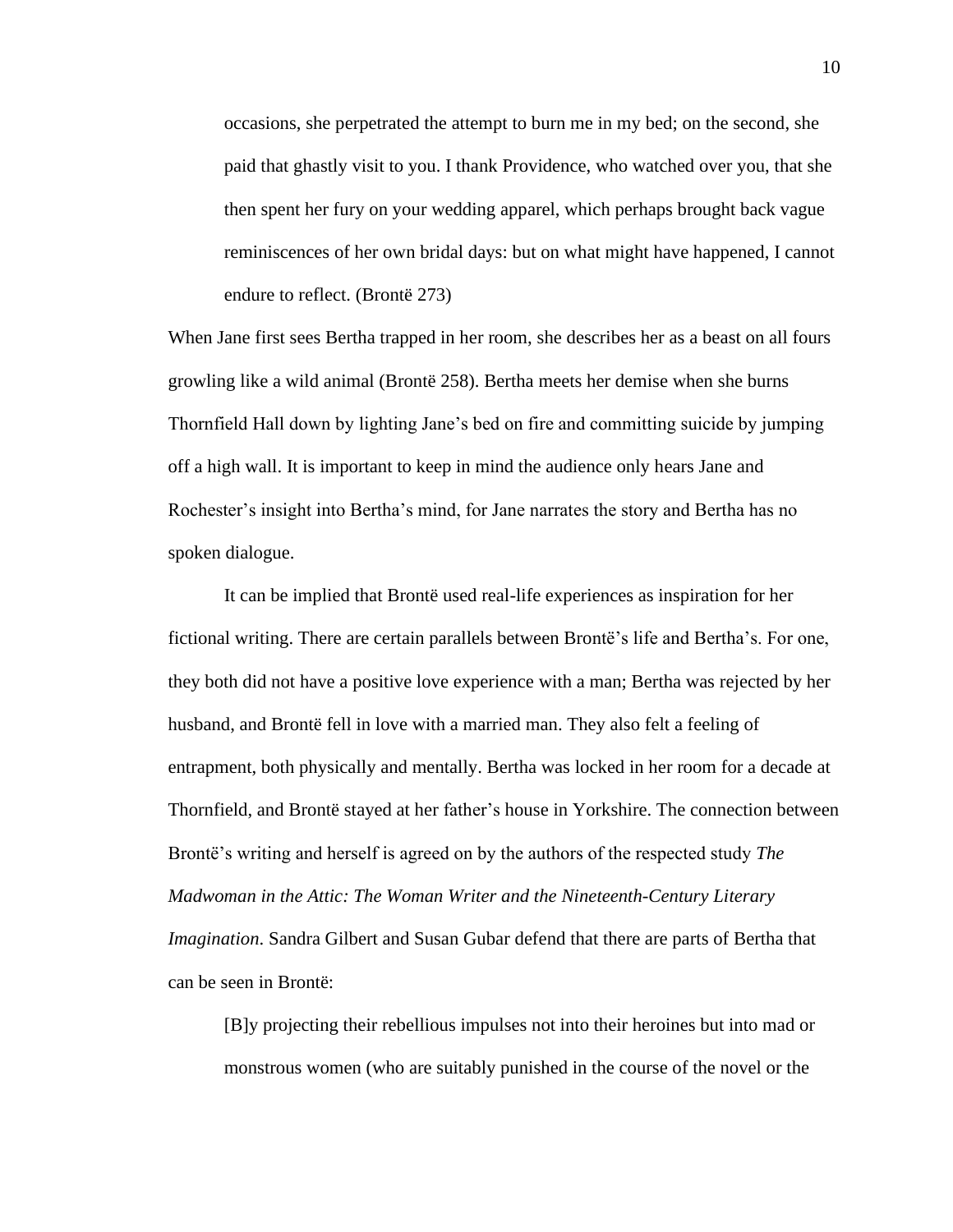occasions, she perpetrated the attempt to burn me in my bed; on the second, she paid that ghastly visit to you. I thank Providence, who watched over you, that she then spent her fury on your wedding apparel, which perhaps brought back vague reminiscences of her own bridal days: but on what might have happened, I cannot endure to reflect. (Brontë 273)

When Jane first sees Bertha trapped in her room, she describes her as a beast on all fours growling like a wild animal (Brontë 258). Bertha meets her demise when she burns Thornfield Hall down by lighting Jane's bed on fire and committing suicide by jumping off a high wall. It is important to keep in mind the audience only hears Jane and Rochester's insight into Bertha's mind, for Jane narrates the story and Bertha has no spoken dialogue.

It can be implied that Brontë used real-life experiences as inspiration for her fictional writing. There are certain parallels between Brontë's life and Bertha's. For one, they both did not have a positive love experience with a man; Bertha was rejected by her husband, and Brontë fell in love with a married man. They also felt a feeling of entrapment, both physically and mentally. Bertha was locked in her room for a decade at Thornfield, and Brontë stayed at her father's house in Yorkshire. The connection between Brontë's writing and herself is agreed on by the authors of the respected study *The Madwoman in the Attic: The Woman Writer and the Nineteenth-Century Literary Imagination*. Sandra Gilbert and Susan Gubar defend that there are parts of Bertha that can be seen in Brontë:

[B]y projecting their rebellious impulses not into their heroines but into mad or monstrous women (who are suitably punished in the course of the novel or the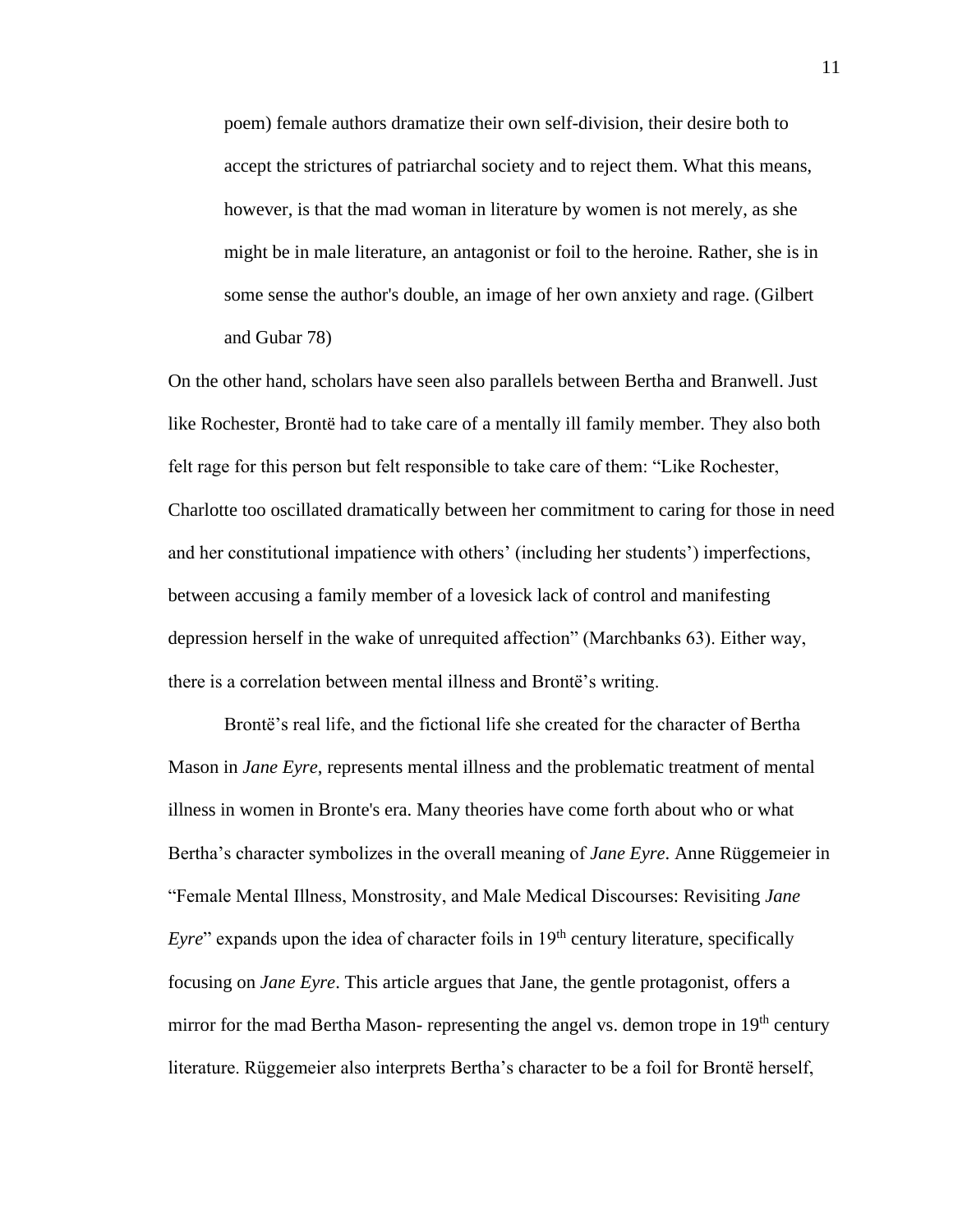poem) female authors dramatize their own self-division, their desire both to accept the strictures of patriarchal society and to reject them. What this means, however, is that the mad woman in literature by women is not merely, as she might be in male literature, an antagonist or foil to the heroine. Rather, she is in some sense the author's double, an image of her own anxiety and rage. (Gilbert and Gubar 78)

On the other hand, scholars have seen also parallels between Bertha and Branwell. Just like Rochester, Brontë had to take care of a mentally ill family member. They also both felt rage for this person but felt responsible to take care of them: "Like Rochester, Charlotte too oscillated dramatically between her commitment to caring for those in need and her constitutional impatience with others' (including her students') imperfections, between accusing a family member of a lovesick lack of control and manifesting depression herself in the wake of unrequited affection" (Marchbanks 63). Either way, there is a correlation between mental illness and Brontë's writing.

Brontë's real life, and the fictional life she created for the character of Bertha Mason in *Jane Eyre*, represents mental illness and the problematic treatment of mental illness in women in Bronte's era. Many theories have come forth about who or what Bertha's character symbolizes in the overall meaning of *Jane Eyre*. Anne Rüggemeier in "Female Mental Illness, Monstrosity, and Male Medical Discourses: Revisiting *Jane Eyre*" expands upon the idea of character foils in 19<sup>th</sup> century literature, specifically focusing on *Jane Eyre*. This article argues that Jane, the gentle protagonist, offers a mirror for the mad Bertha Mason- representing the angel vs. demon trope in  $19<sup>th</sup>$  century literature. Rüggemeier also interprets Bertha's character to be a foil for Brontë herself,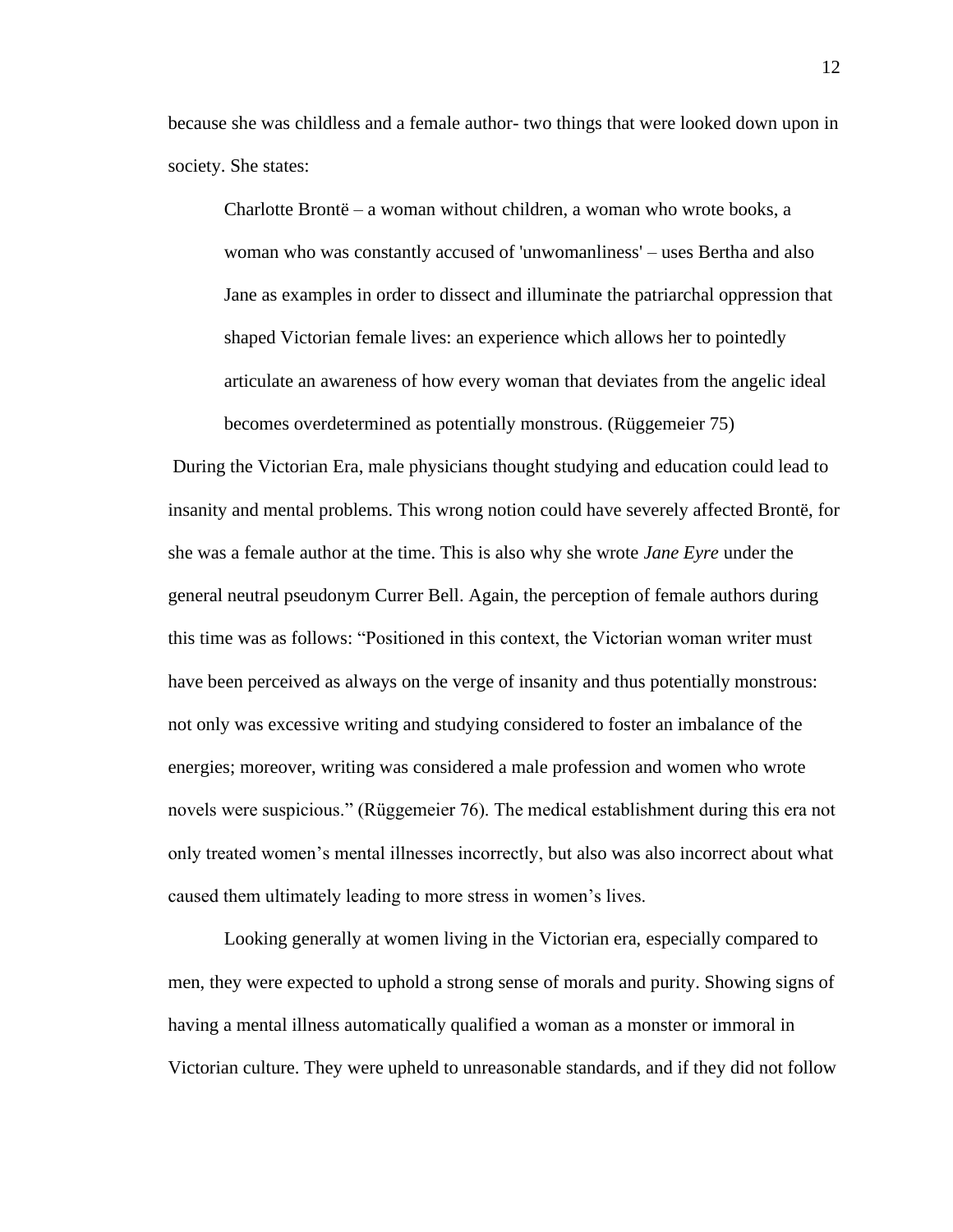because she was childless and a female author- two things that were looked down upon in society. She states:

Charlotte Brontë – a woman without children, a woman who wrote books, a woman who was constantly accused of 'unwomanliness' – uses Bertha and also Jane as examples in order to dissect and illuminate the patriarchal oppression that shaped Victorian female lives: an experience which allows her to pointedly articulate an awareness of how every woman that deviates from the angelic ideal becomes overdetermined as potentially monstrous. (Rüggemeier 75)

During the Victorian Era, male physicians thought studying and education could lead to insanity and mental problems. This wrong notion could have severely affected Brontë, for she was a female author at the time. This is also why she wrote *Jane Eyre* under the general neutral pseudonym Currer Bell. Again, the perception of female authors during this time was as follows: "Positioned in this context, the Victorian woman writer must have been perceived as always on the verge of insanity and thus potentially monstrous: not only was excessive writing and studying considered to foster an imbalance of the energies; moreover, writing was considered a male profession and women who wrote novels were suspicious." (Rüggemeier 76). The medical establishment during this era not only treated women's mental illnesses incorrectly, but also was also incorrect about what caused them ultimately leading to more stress in women's lives.

Looking generally at women living in the Victorian era, especially compared to men, they were expected to uphold a strong sense of morals and purity. Showing signs of having a mental illness automatically qualified a woman as a monster or immoral in Victorian culture. They were upheld to unreasonable standards, and if they did not follow

12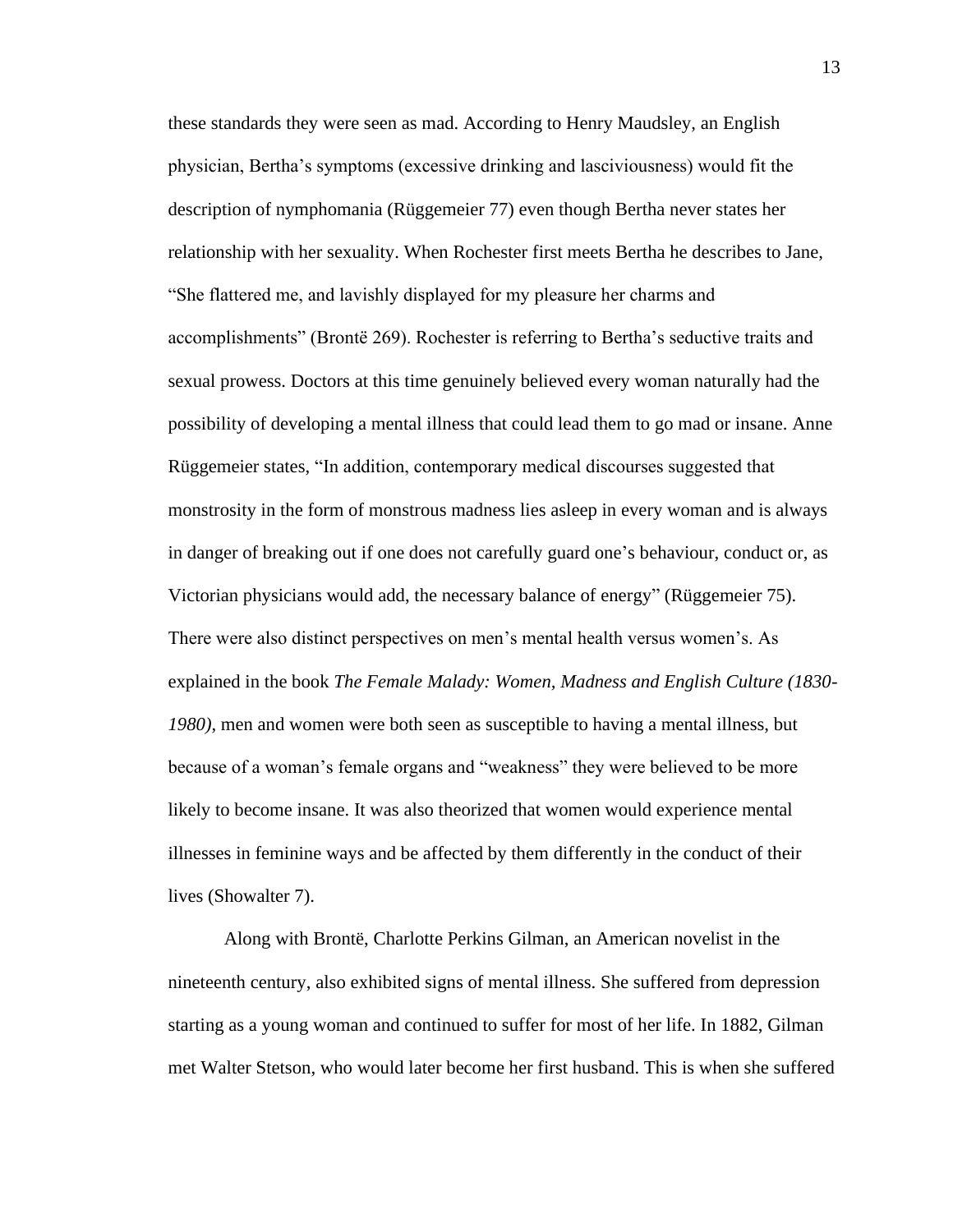these standards they were seen as mad. According to Henry Maudsley, an English physician, Bertha's symptoms (excessive drinking and lasciviousness) would fit the description of nymphomania (Rüggemeier 77) even though Bertha never states her relationship with her sexuality. When Rochester first meets Bertha he describes to Jane, "She flattered me, and lavishly displayed for my pleasure her charms and accomplishments" (Brontë 269). Rochester is referring to Bertha's seductive traits and sexual prowess. Doctors at this time genuinely believed every woman naturally had the possibility of developing a mental illness that could lead them to go mad or insane. Anne Rüggemeier states, "In addition, contemporary medical discourses suggested that monstrosity in the form of monstrous madness lies asleep in every woman and is always in danger of breaking out if one does not carefully guard one's behaviour, conduct or, as Victorian physicians would add, the necessary balance of energy" (Rüggemeier 75). There were also distinct perspectives on men's mental health versus women's. As explained in the book *The Female Malady: Women, Madness and English Culture (1830- 1980)*, men and women were both seen as susceptible to having a mental illness, but because of a woman's female organs and "weakness" they were believed to be more likely to become insane. It was also theorized that women would experience mental illnesses in feminine ways and be affected by them differently in the conduct of their lives (Showalter 7).

Along with Brontë, Charlotte Perkins Gilman, an American novelist in the nineteenth century, also exhibited signs of mental illness. She suffered from depression starting as a young woman and continued to suffer for most of her life. In 1882, Gilman met Walter Stetson, who would later become her first husband. This is when she suffered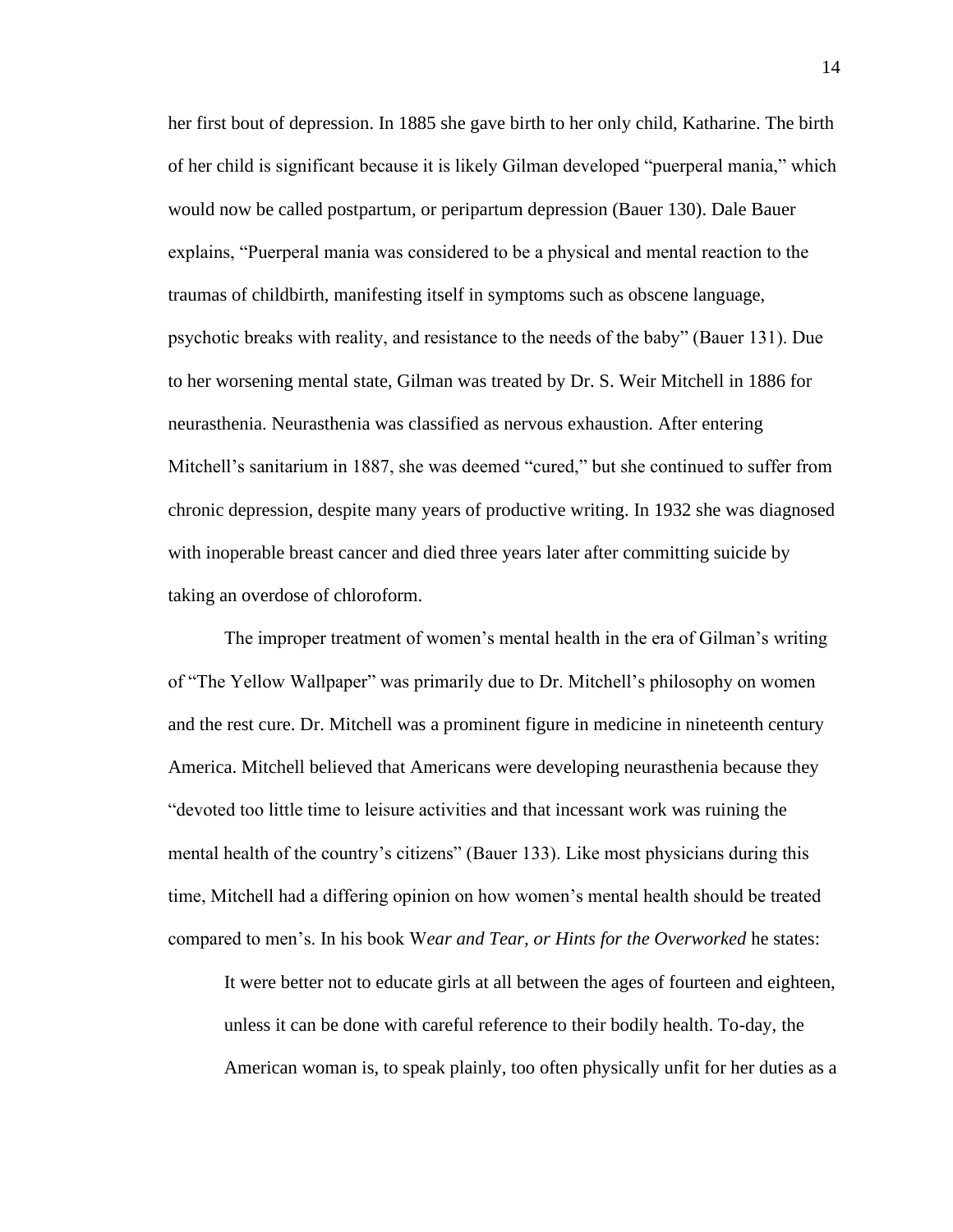her first bout of depression. In 1885 she gave birth to her only child, Katharine. The birth of her child is significant because it is likely Gilman developed "puerperal mania," which would now be called postpartum, or peripartum depression (Bauer 130). Dale Bauer explains, "Puerperal mania was considered to be a physical and mental reaction to the traumas of childbirth, manifesting itself in symptoms such as obscene language, psychotic breaks with reality, and resistance to the needs of the baby" (Bauer 131). Due to her worsening mental state, Gilman was treated by Dr. S. Weir Mitchell in 1886 for neurasthenia. Neurasthenia was classified as nervous exhaustion. After entering Mitchell's sanitarium in 1887, she was deemed "cured," but she continued to suffer from chronic depression, despite many years of productive writing. In 1932 she was diagnosed with inoperable breast cancer and died three years later after committing suicide by taking an overdose of chloroform.

The improper treatment of women's mental health in the era of Gilman's writing of "The Yellow Wallpaper" was primarily due to Dr. Mitchell's philosophy on women and the rest cure. Dr. Mitchell was a prominent figure in medicine in nineteenth century America. Mitchell believed that Americans were developing neurasthenia because they "devoted too little time to leisure activities and that incessant work was ruining the mental health of the country's citizens" (Bauer 133). Like most physicians during this time, Mitchell had a differing opinion on how women's mental health should be treated compared to men's. In his book W*ear and Tear, or Hints for the Overworked* he states:

It were better not to educate girls at all between the ages of fourteen and eighteen, unless it can be done with careful reference to their bodily health. To-day, the American woman is, to speak plainly, too often physically unfit for her duties as a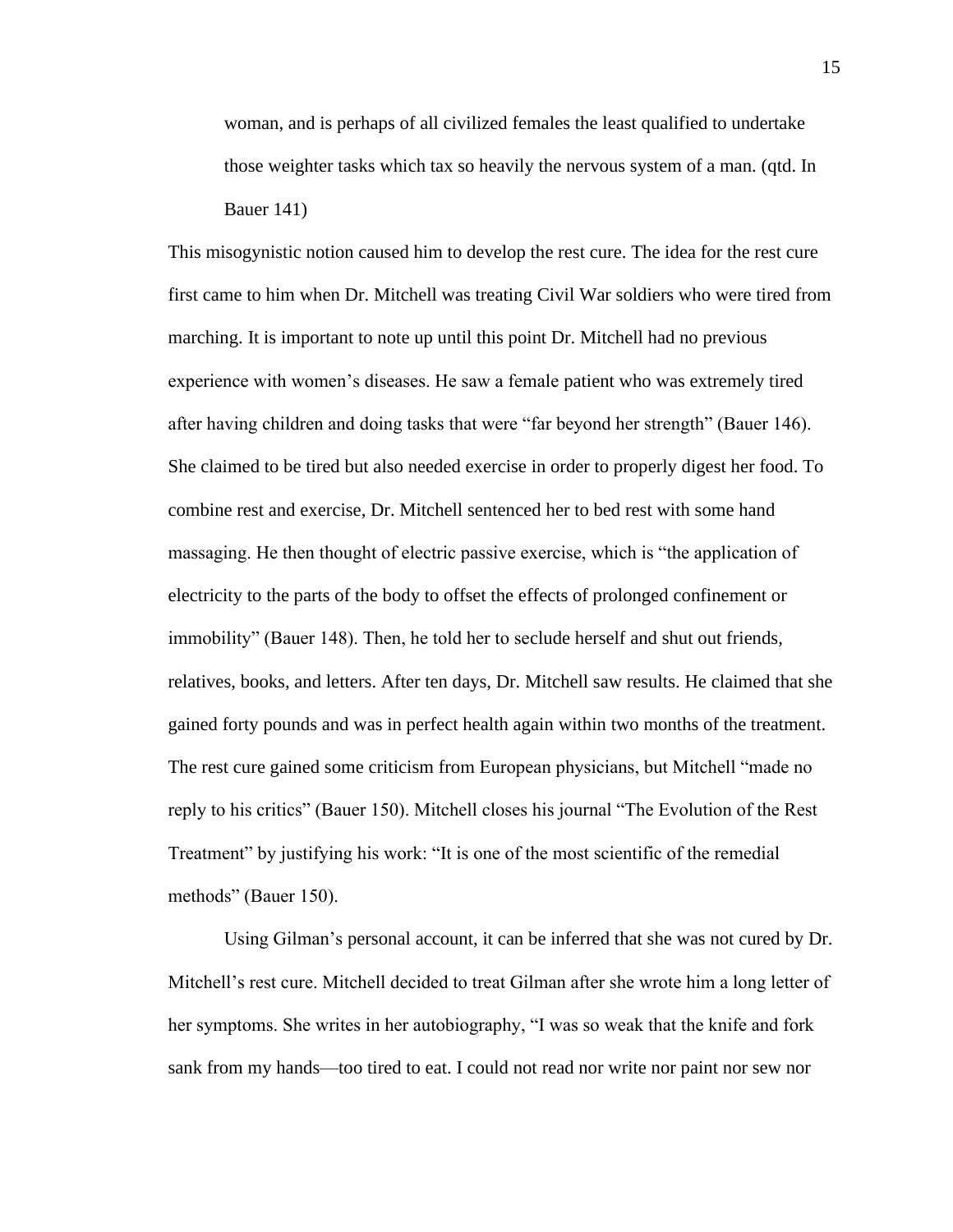woman, and is perhaps of all civilized females the least qualified to undertake those weighter tasks which tax so heavily the nervous system of a man. (qtd. In Bauer 141)

This misogynistic notion caused him to develop the rest cure. The idea for the rest cure first came to him when Dr. Mitchell was treating Civil War soldiers who were tired from marching. It is important to note up until this point Dr. Mitchell had no previous experience with women's diseases. He saw a female patient who was extremely tired after having children and doing tasks that were "far beyond her strength" (Bauer 146). She claimed to be tired but also needed exercise in order to properly digest her food. To combine rest and exercise, Dr. Mitchell sentenced her to bed rest with some hand massaging. He then thought of electric passive exercise, which is "the application of electricity to the parts of the body to offset the effects of prolonged confinement or immobility" (Bauer 148). Then, he told her to seclude herself and shut out friends, relatives, books, and letters. After ten days, Dr. Mitchell saw results. He claimed that she gained forty pounds and was in perfect health again within two months of the treatment. The rest cure gained some criticism from European physicians, but Mitchell "made no reply to his critics" (Bauer 150). Mitchell closes his journal "The Evolution of the Rest Treatment" by justifying his work: "It is one of the most scientific of the remedial methods" (Bauer 150).

Using Gilman's personal account, it can be inferred that she was not cured by Dr. Mitchell's rest cure. Mitchell decided to treat Gilman after she wrote him a long letter of her symptoms. She writes in her autobiography, "I was so weak that the knife and fork sank from my hands—too tired to eat. I could not read nor write nor paint nor sew nor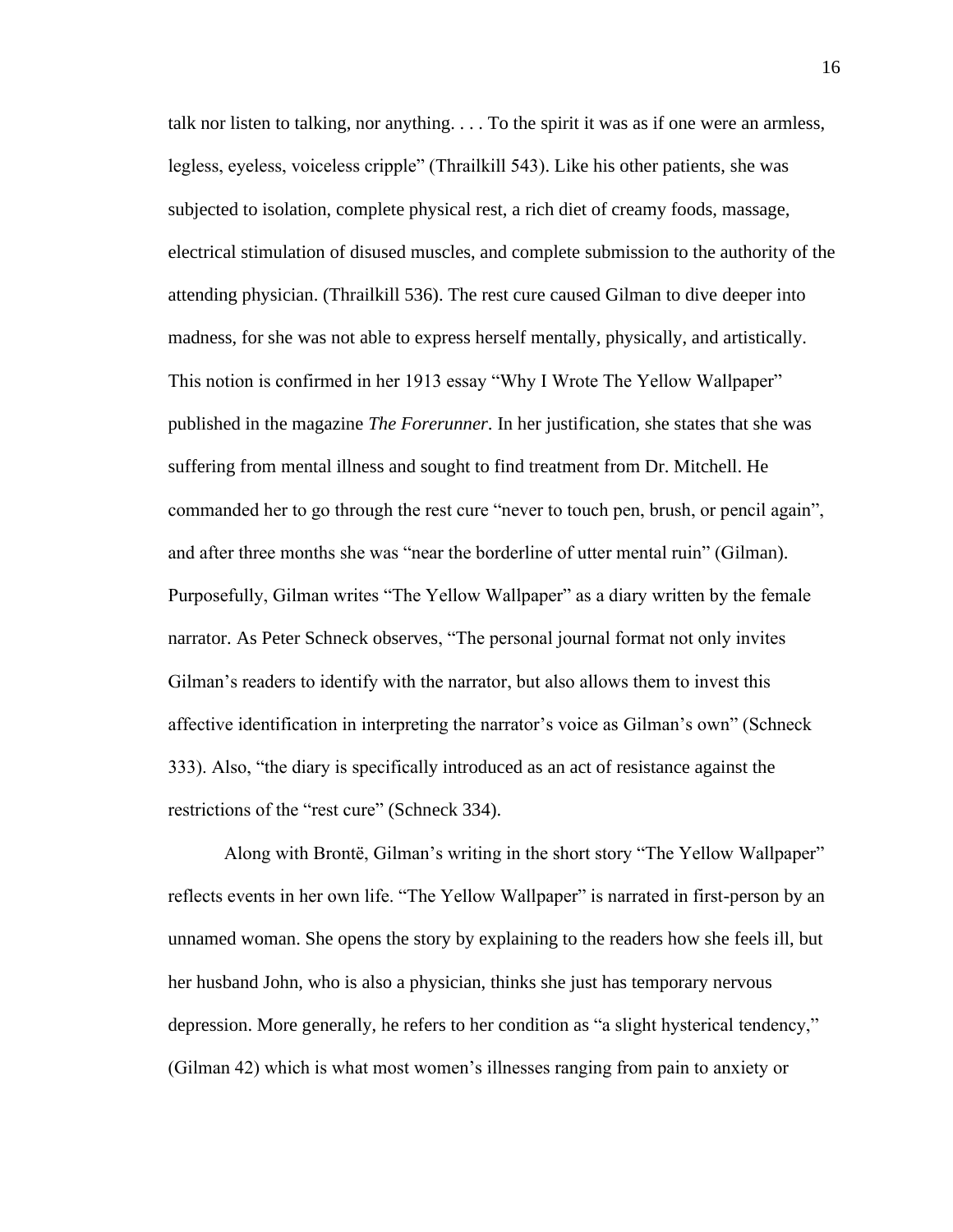talk nor listen to talking, nor anything. . . . To the spirit it was as if one were an armless, legless, eyeless, voiceless cripple" (Thrailkill 543). Like his other patients, she was subjected to isolation, complete physical rest, a rich diet of creamy foods, massage, electrical stimulation of disused muscles, and complete submission to the authority of the attending physician. (Thrailkill 536). The rest cure caused Gilman to dive deeper into madness, for she was not able to express herself mentally, physically, and artistically. This notion is confirmed in her 1913 essay "Why I Wrote The Yellow Wallpaper" published in the magazine *The Forerunner*. In her justification, she states that she was suffering from mental illness and sought to find treatment from Dr. Mitchell. He commanded her to go through the rest cure "never to touch pen, brush, or pencil again", and after three months she was "near the borderline of utter mental ruin" (Gilman). Purposefully, Gilman writes "The Yellow Wallpaper" as a diary written by the female narrator. As Peter Schneck observes, "The personal journal format not only invites Gilman's readers to identify with the narrator, but also allows them to invest this affective identification in interpreting the narrator's voice as Gilman's own" (Schneck 333). Also, "the diary is specifically introduced as an act of resistance against the restrictions of the "rest cure" (Schneck 334).

Along with Brontë, Gilman's writing in the short story "The Yellow Wallpaper" reflects events in her own life. "The Yellow Wallpaper" is narrated in first-person by an unnamed woman. She opens the story by explaining to the readers how she feels ill, but her husband John, who is also a physician, thinks she just has temporary nervous depression. More generally, he refers to her condition as "a slight hysterical tendency," (Gilman 42) which is what most women's illnesses ranging from pain to anxiety or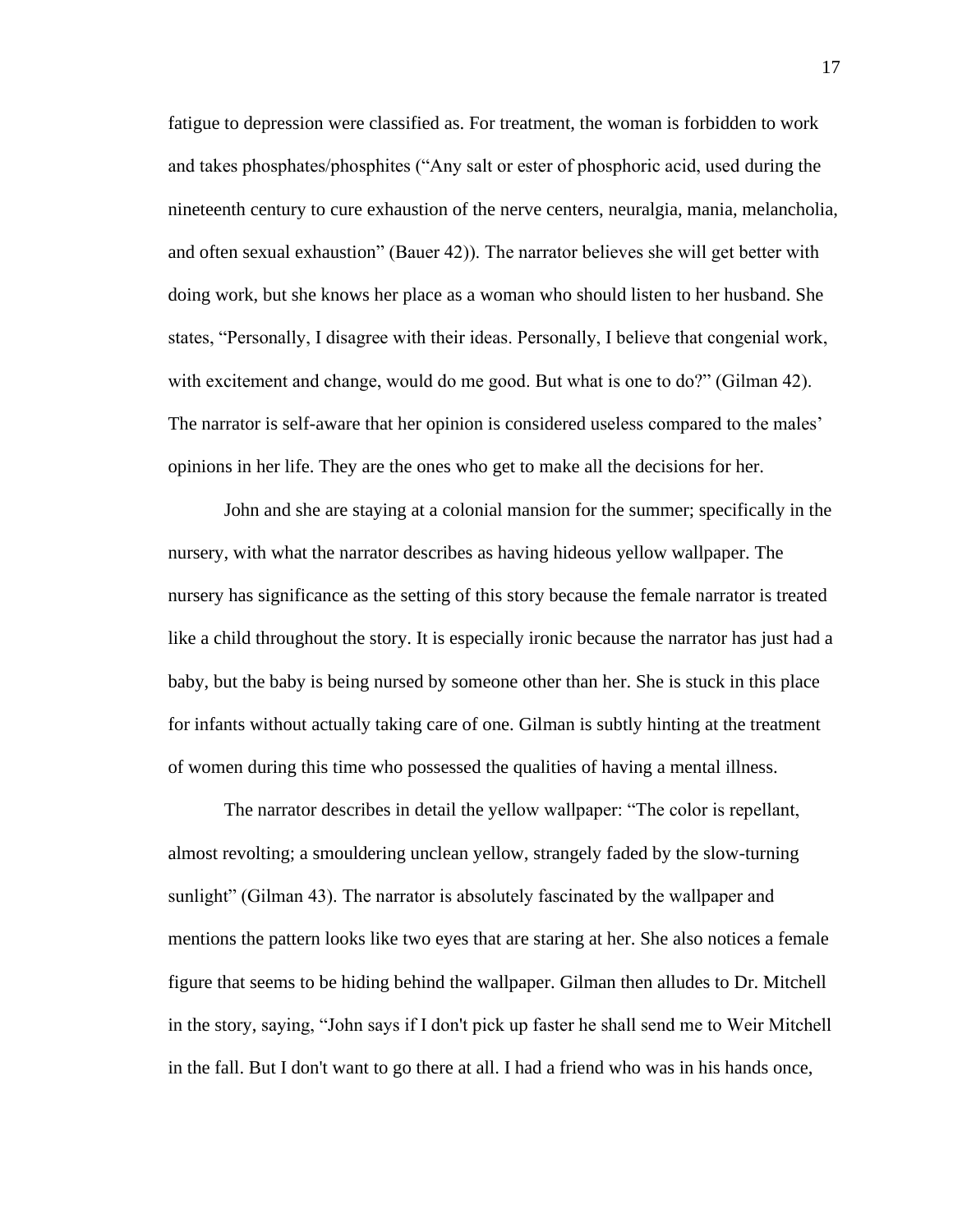fatigue to depression were classified as. For treatment, the woman is forbidden to work and takes phosphates/phosphites ("Any salt or ester of phosphoric acid, used during the nineteenth century to cure exhaustion of the nerve centers, neuralgia, mania, melancholia, and often sexual exhaustion" (Bauer 42)). The narrator believes she will get better with doing work, but she knows her place as a woman who should listen to her husband. She states, "Personally, I disagree with their ideas. Personally, I believe that congenial work, with excitement and change, would do me good. But what is one to do?" (Gilman 42). The narrator is self-aware that her opinion is considered useless compared to the males' opinions in her life. They are the ones who get to make all the decisions for her.

John and she are staying at a colonial mansion for the summer; specifically in the nursery, with what the narrator describes as having hideous yellow wallpaper. The nursery has significance as the setting of this story because the female narrator is treated like a child throughout the story. It is especially ironic because the narrator has just had a baby, but the baby is being nursed by someone other than her. She is stuck in this place for infants without actually taking care of one. Gilman is subtly hinting at the treatment of women during this time who possessed the qualities of having a mental illness.

The narrator describes in detail the yellow wallpaper: "The color is repellant, almost revolting; a smouldering unclean yellow, strangely faded by the slow-turning sunlight" (Gilman 43). The narrator is absolutely fascinated by the wallpaper and mentions the pattern looks like two eyes that are staring at her. She also notices a female figure that seems to be hiding behind the wallpaper. Gilman then alludes to Dr. Mitchell in the story, saying, "John says if I don't pick up faster he shall send me to Weir Mitchell in the fall. But I don't want to go there at all. I had a friend who was in his hands once,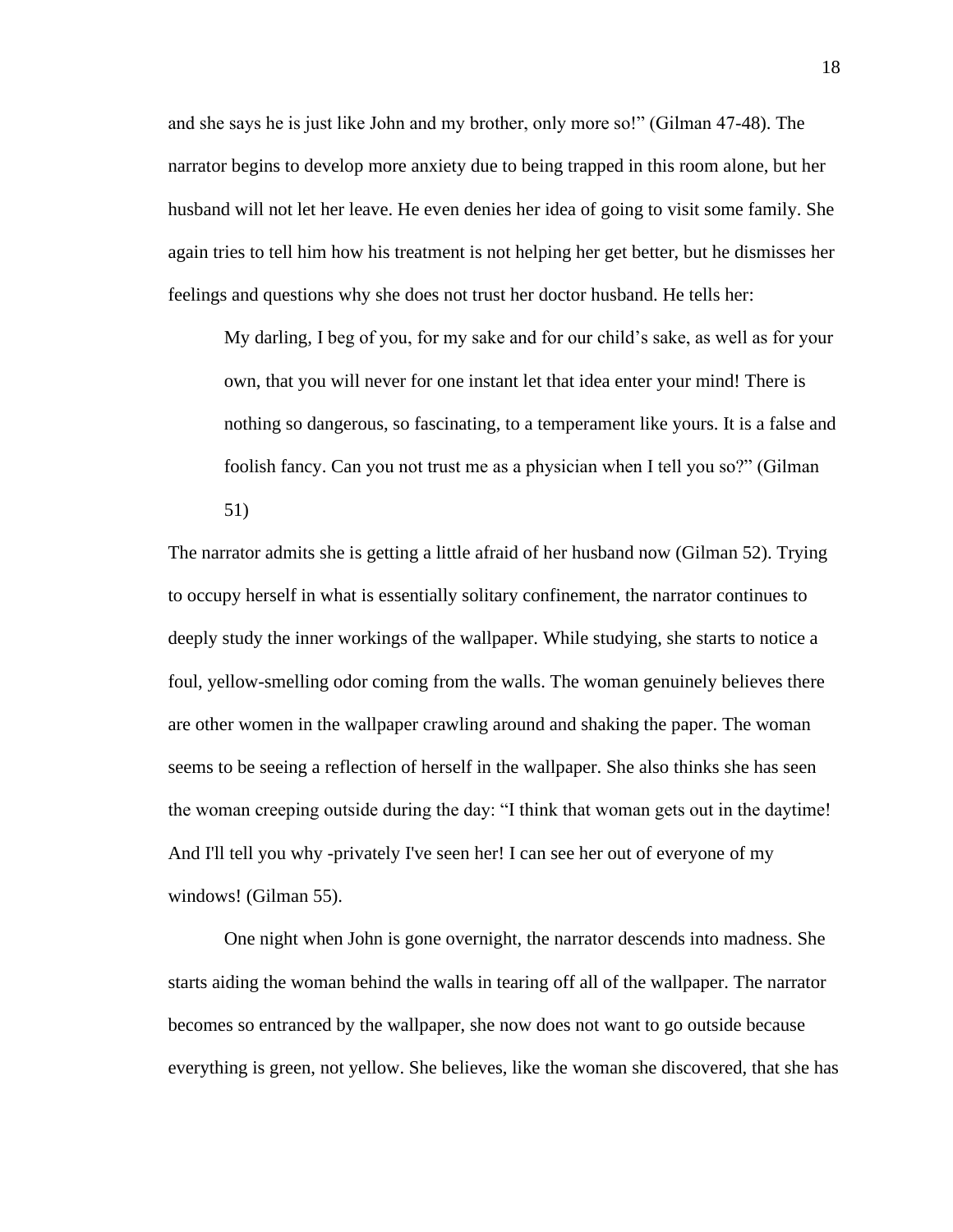and she says he is just like John and my brother, only more so!" (Gilman 47-48). The narrator begins to develop more anxiety due to being trapped in this room alone, but her husband will not let her leave. He even denies her idea of going to visit some family. She again tries to tell him how his treatment is not helping her get better, but he dismisses her feelings and questions why she does not trust her doctor husband. He tells her:

My darling, I beg of you, for my sake and for our child's sake, as well as for your own, that you will never for one instant let that idea enter your mind! There is nothing so dangerous, so fascinating, to a temperament like yours. It is a false and foolish fancy. Can you not trust me as a physician when I tell you so?" (Gilman

51)

The narrator admits she is getting a little afraid of her husband now (Gilman 52). Trying to occupy herself in what is essentially solitary confinement, the narrator continues to deeply study the inner workings of the wallpaper. While studying, she starts to notice a foul, yellow-smelling odor coming from the walls. The woman genuinely believes there are other women in the wallpaper crawling around and shaking the paper. The woman seems to be seeing a reflection of herself in the wallpaper. She also thinks she has seen the woman creeping outside during the day: "I think that woman gets out in the daytime! And I'll tell you why -privately I've seen her! I can see her out of everyone of my windows! (Gilman 55).

One night when John is gone overnight, the narrator descends into madness. She starts aiding the woman behind the walls in tearing off all of the wallpaper. The narrator becomes so entranced by the wallpaper, she now does not want to go outside because everything is green, not yellow. She believes, like the woman she discovered, that she has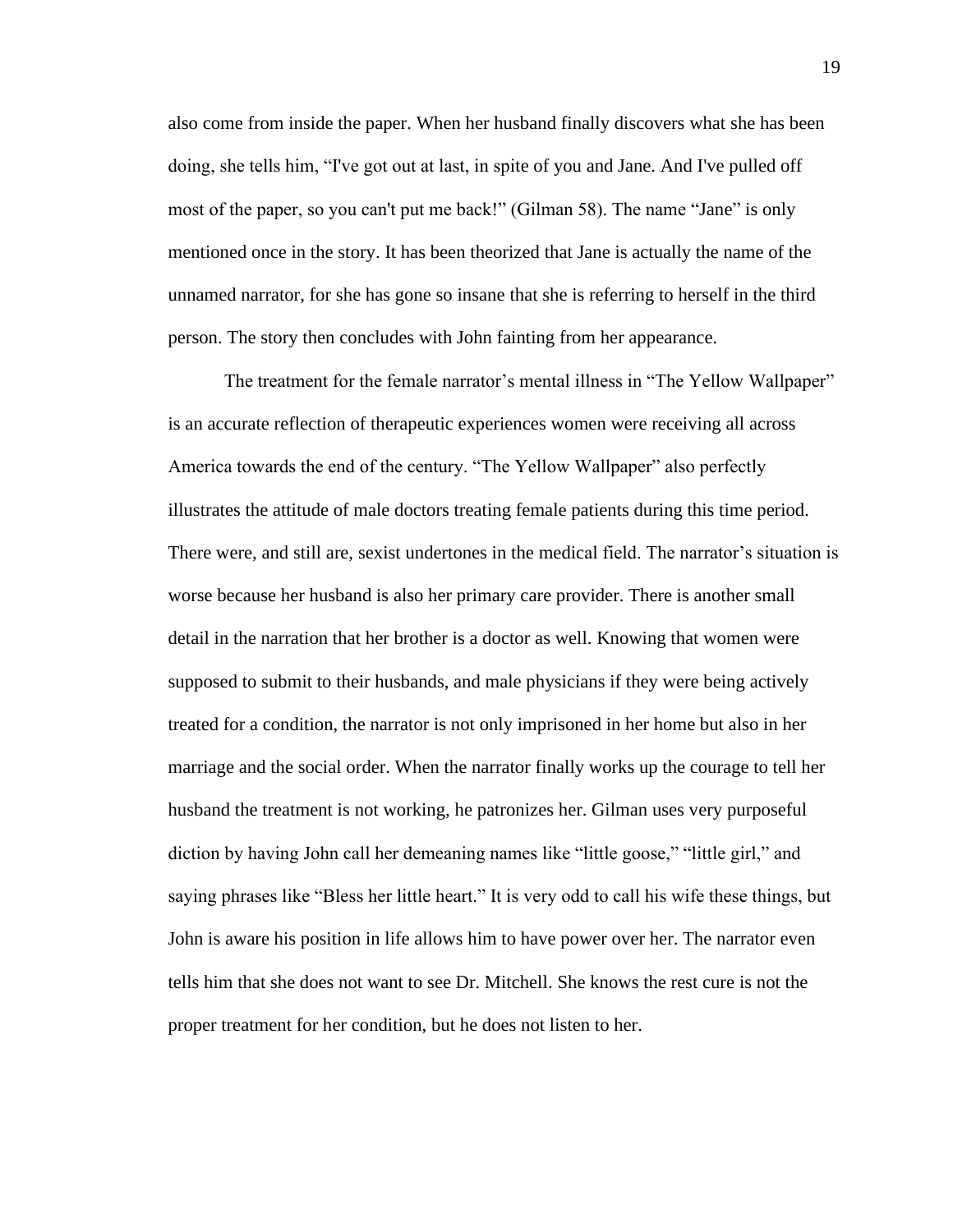also come from inside the paper. When her husband finally discovers what she has been doing, she tells him, "I've got out at last, in spite of you and Jane. And I've pulled off most of the paper, so you can't put me back!" (Gilman 58). The name "Jane" is only mentioned once in the story. It has been theorized that Jane is actually the name of the unnamed narrator, for she has gone so insane that she is referring to herself in the third person. The story then concludes with John fainting from her appearance.

The treatment for the female narrator's mental illness in "The Yellow Wallpaper" is an accurate reflection of therapeutic experiences women were receiving all across America towards the end of the century. "The Yellow Wallpaper" also perfectly illustrates the attitude of male doctors treating female patients during this time period. There were, and still are, sexist undertones in the medical field. The narrator's situation is worse because her husband is also her primary care provider. There is another small detail in the narration that her brother is a doctor as well. Knowing that women were supposed to submit to their husbands, and male physicians if they were being actively treated for a condition, the narrator is not only imprisoned in her home but also in her marriage and the social order. When the narrator finally works up the courage to tell her husband the treatment is not working, he patronizes her. Gilman uses very purposeful diction by having John call her demeaning names like "little goose," "little girl," and saying phrases like "Bless her little heart." It is very odd to call his wife these things, but John is aware his position in life allows him to have power over her. The narrator even tells him that she does not want to see Dr. Mitchell. She knows the rest cure is not the proper treatment for her condition, but he does not listen to her.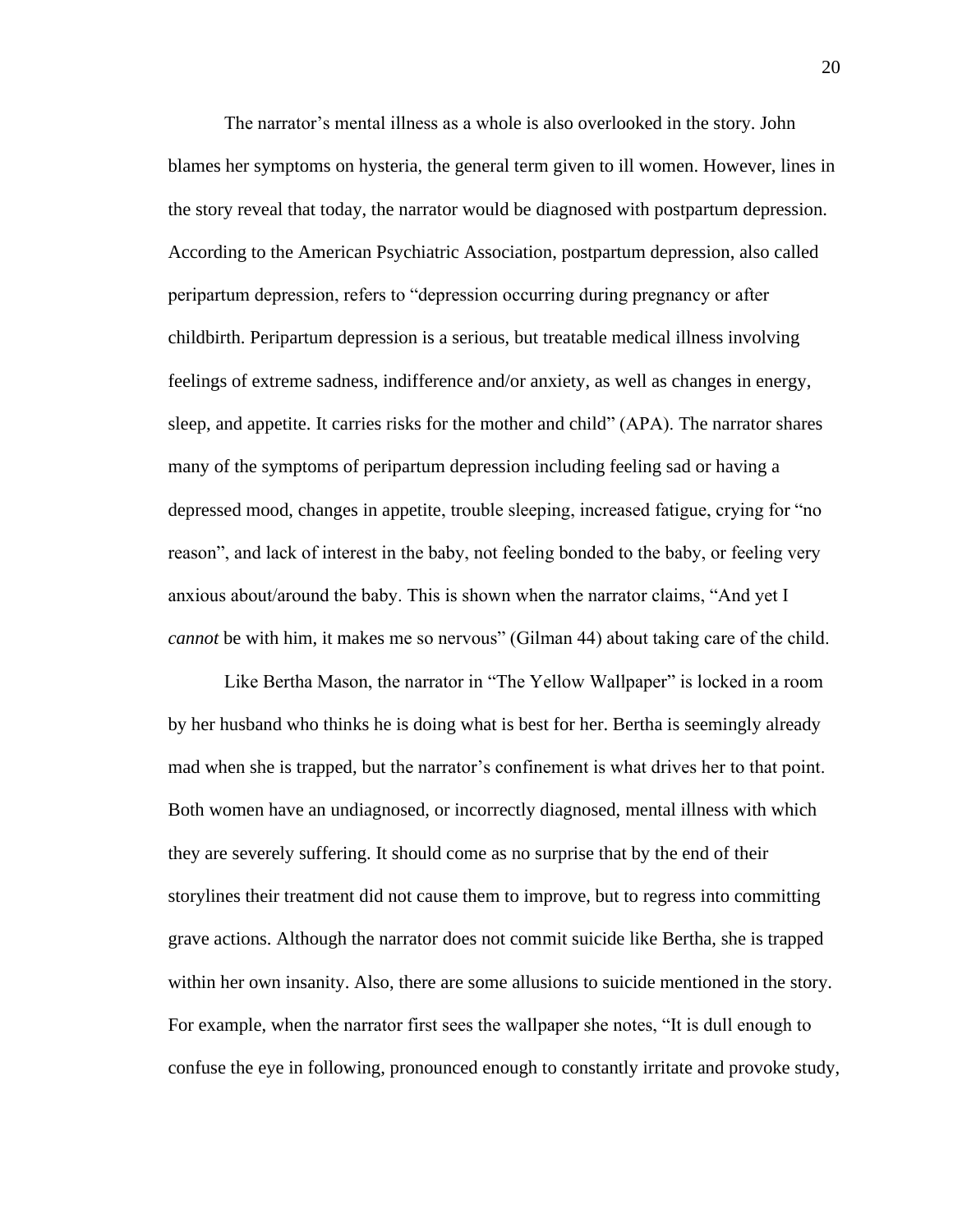The narrator's mental illness as a whole is also overlooked in the story. John blames her symptoms on hysteria, the general term given to ill women. However, lines in the story reveal that today, the narrator would be diagnosed with postpartum depression. According to the American Psychiatric Association, postpartum depression, also called peripartum depression, refers to "depression occurring during pregnancy or after childbirth. Peripartum depression is a serious, but treatable medical illness involving feelings of extreme sadness, indifference and/or anxiety, as well as changes in energy, sleep, and appetite. It carries risks for the mother and child" (APA). The narrator shares many of the symptoms of peripartum depression including feeling sad or having a depressed mood, changes in appetite, trouble sleeping, increased fatigue, crying for "no reason", and lack of interest in the baby, not feeling bonded to the baby, or feeling very anxious about/around the baby. This is shown when the narrator claims, "And yet I *cannot* be with him, it makes me so nervous" (Gilman 44) about taking care of the child.

Like Bertha Mason, the narrator in "The Yellow Wallpaper" is locked in a room by her husband who thinks he is doing what is best for her. Bertha is seemingly already mad when she is trapped, but the narrator's confinement is what drives her to that point. Both women have an undiagnosed, or incorrectly diagnosed, mental illness with which they are severely suffering. It should come as no surprise that by the end of their storylines their treatment did not cause them to improve, but to regress into committing grave actions. Although the narrator does not commit suicide like Bertha, she is trapped within her own insanity. Also, there are some allusions to suicide mentioned in the story. For example, when the narrator first sees the wallpaper she notes, "It is dull enough to confuse the eye in following, pronounced enough to constantly irritate and provoke study,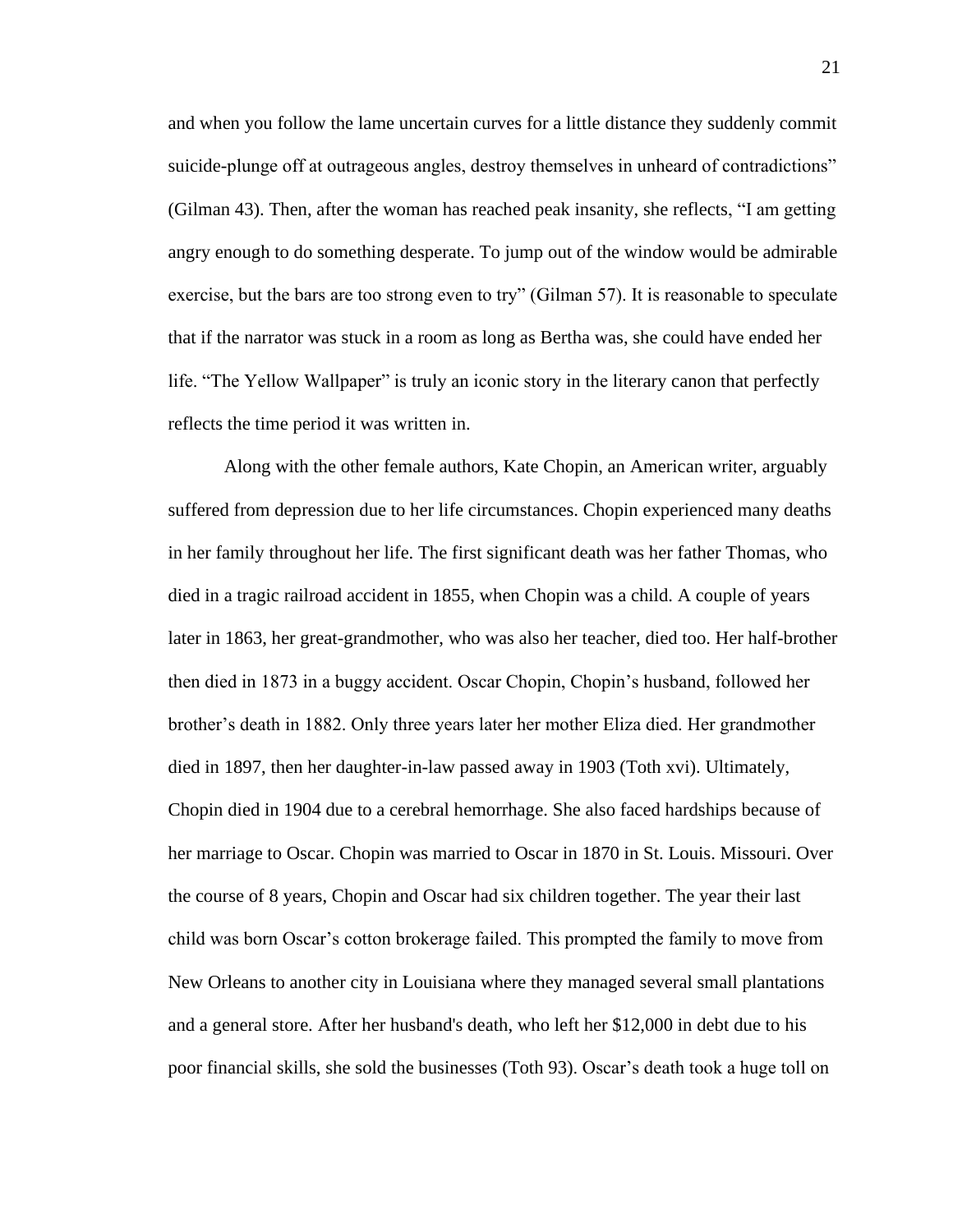and when you follow the lame uncertain curves for a little distance they suddenly commit suicide-plunge off at outrageous angles, destroy themselves in unheard of contradictions" (Gilman 43). Then, after the woman has reached peak insanity, she reflects, "I am getting angry enough to do something desperate. To jump out of the window would be admirable exercise, but the bars are too strong even to try" (Gilman 57). It is reasonable to speculate that if the narrator was stuck in a room as long as Bertha was, she could have ended her life. "The Yellow Wallpaper" is truly an iconic story in the literary canon that perfectly reflects the time period it was written in.

Along with the other female authors, Kate Chopin, an American writer, arguably suffered from depression due to her life circumstances. Chopin experienced many deaths in her family throughout her life. The first significant death was her father Thomas, who died in a tragic railroad accident in 1855, when Chopin was a child. A couple of years later in 1863, her great-grandmother, who was also her teacher, died too. Her half-brother then died in 1873 in a buggy accident. Oscar Chopin, Chopin's husband, followed her brother's death in 1882. Only three years later her mother Eliza died. Her grandmother died in 1897, then her daughter-in-law passed away in 1903 (Toth xvi). Ultimately, Chopin died in 1904 due to a cerebral hemorrhage. She also faced hardships because of her marriage to Oscar. Chopin was married to Oscar in 1870 in St. Louis. Missouri. Over the course of 8 years, Chopin and Oscar had six children together. The year their last child was born Oscar's cotton brokerage failed. This prompted the family to move from New Orleans to another city in Louisiana where they managed several small plantations and a general store. After her husband's death, who left her \$12,000 in debt due to his poor financial skills, she sold the businesses (Toth 93). Oscar's death took a huge toll on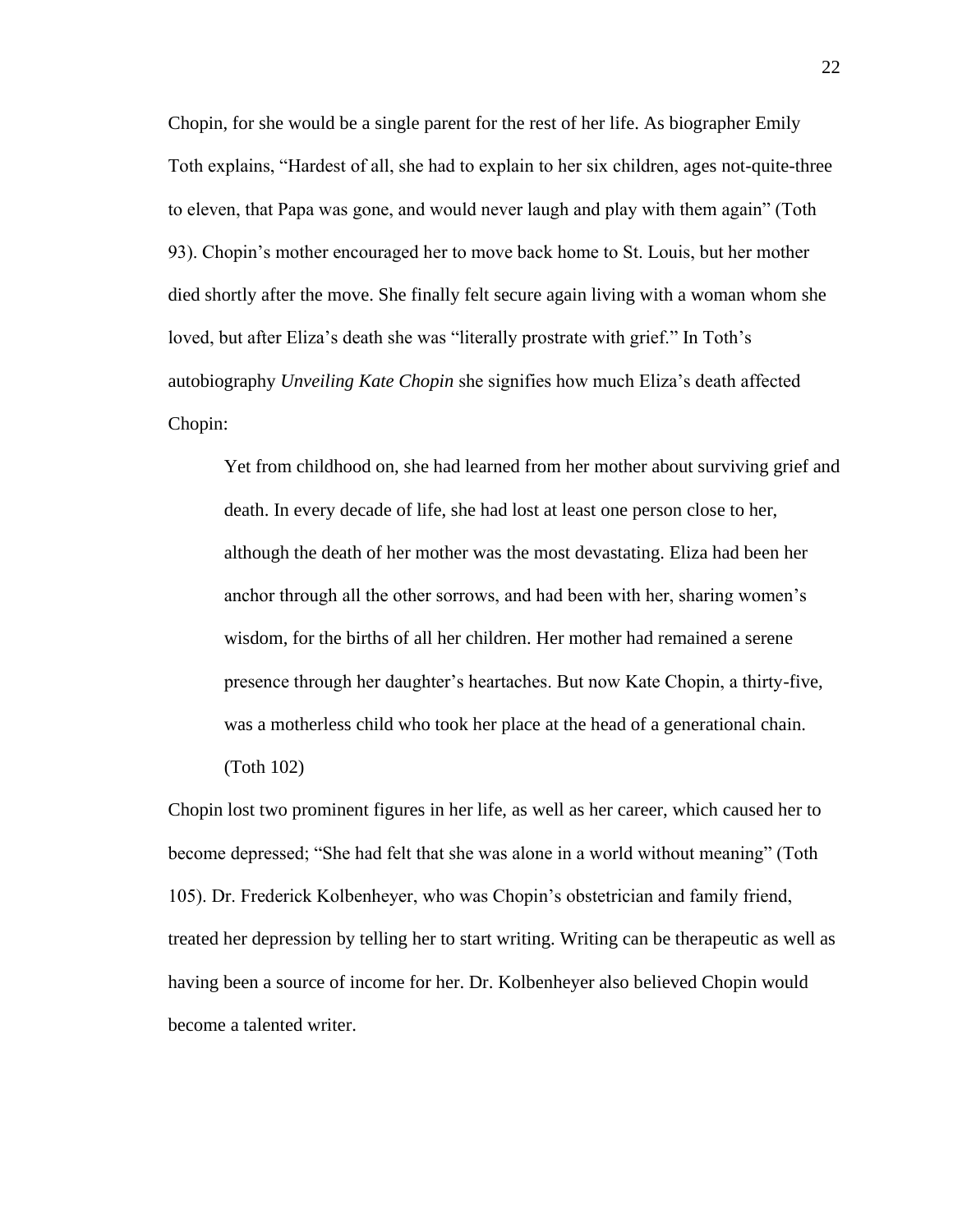Chopin, for she would be a single parent for the rest of her life. As biographer Emily Toth explains, "Hardest of all, she had to explain to her six children, ages not-quite-three to eleven, that Papa was gone, and would never laugh and play with them again" (Toth 93). Chopin's mother encouraged her to move back home to St. Louis, but her mother died shortly after the move. She finally felt secure again living with a woman whom she loved, but after Eliza's death she was "literally prostrate with grief." In Toth's autobiography *Unveiling Kate Chopin* she signifies how much Eliza's death affected Chopin:

Yet from childhood on, she had learned from her mother about surviving grief and death. In every decade of life, she had lost at least one person close to her, although the death of her mother was the most devastating. Eliza had been her anchor through all the other sorrows, and had been with her, sharing women's wisdom, for the births of all her children. Her mother had remained a serene presence through her daughter's heartaches. But now Kate Chopin, a thirty-five, was a motherless child who took her place at the head of a generational chain.

(Toth 102)

Chopin lost two prominent figures in her life, as well as her career, which caused her to become depressed; "She had felt that she was alone in a world without meaning" (Toth 105). Dr. Frederick Kolbenheyer, who was Chopin's obstetrician and family friend, treated her depression by telling her to start writing. Writing can be therapeutic as well as having been a source of income for her. Dr. Kolbenheyer also believed Chopin would become a talented writer.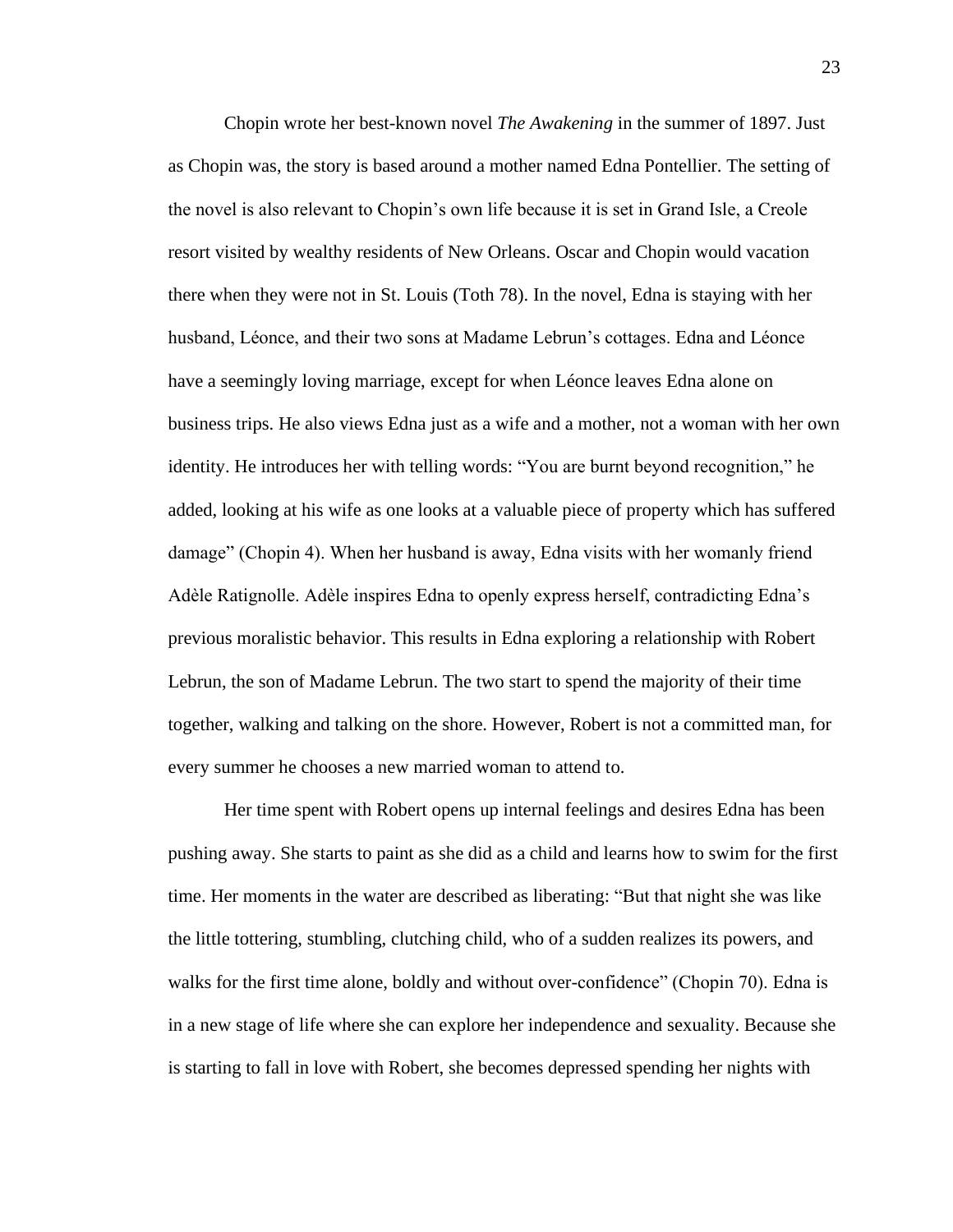Chopin wrote her best-known novel *The Awakening* in the summer of 1897. Just as Chopin was, the story is based around a mother named Edna Pontellier. The setting of the novel is also relevant to Chopin's own life because it is set in Grand Isle, a Creole resort visited by wealthy residents of New Orleans. Oscar and Chopin would vacation there when they were not in St. Louis (Toth 78). In the novel, Edna is staying with her husband, Léonce, and their two sons at Madame Lebrun's cottages. Edna and Léonce have a seemingly loving marriage, except for when Léonce leaves Edna alone on business trips. He also views Edna just as a wife and a mother, not a woman with her own identity. He introduces her with telling words: "You are burnt beyond recognition," he added, looking at his wife as one looks at a valuable piece of property which has suffered damage" (Chopin 4). When her husband is away, Edna visits with her womanly friend Adèle Ratignolle. Adèle inspires Edna to openly express herself, contradicting Edna's previous moralistic behavior. This results in Edna exploring a relationship with Robert Lebrun, the son of Madame Lebrun. The two start to spend the majority of their time together, walking and talking on the shore. However, Robert is not a committed man, for every summer he chooses a new married woman to attend to.

Her time spent with Robert opens up internal feelings and desires Edna has been pushing away. She starts to paint as she did as a child and learns how to swim for the first time. Her moments in the water are described as liberating: "But that night she was like the little tottering, stumbling, clutching child, who of a sudden realizes its powers, and walks for the first time alone, boldly and without over-confidence" (Chopin 70). Edna is in a new stage of life where she can explore her independence and sexuality. Because she is starting to fall in love with Robert, she becomes depressed spending her nights with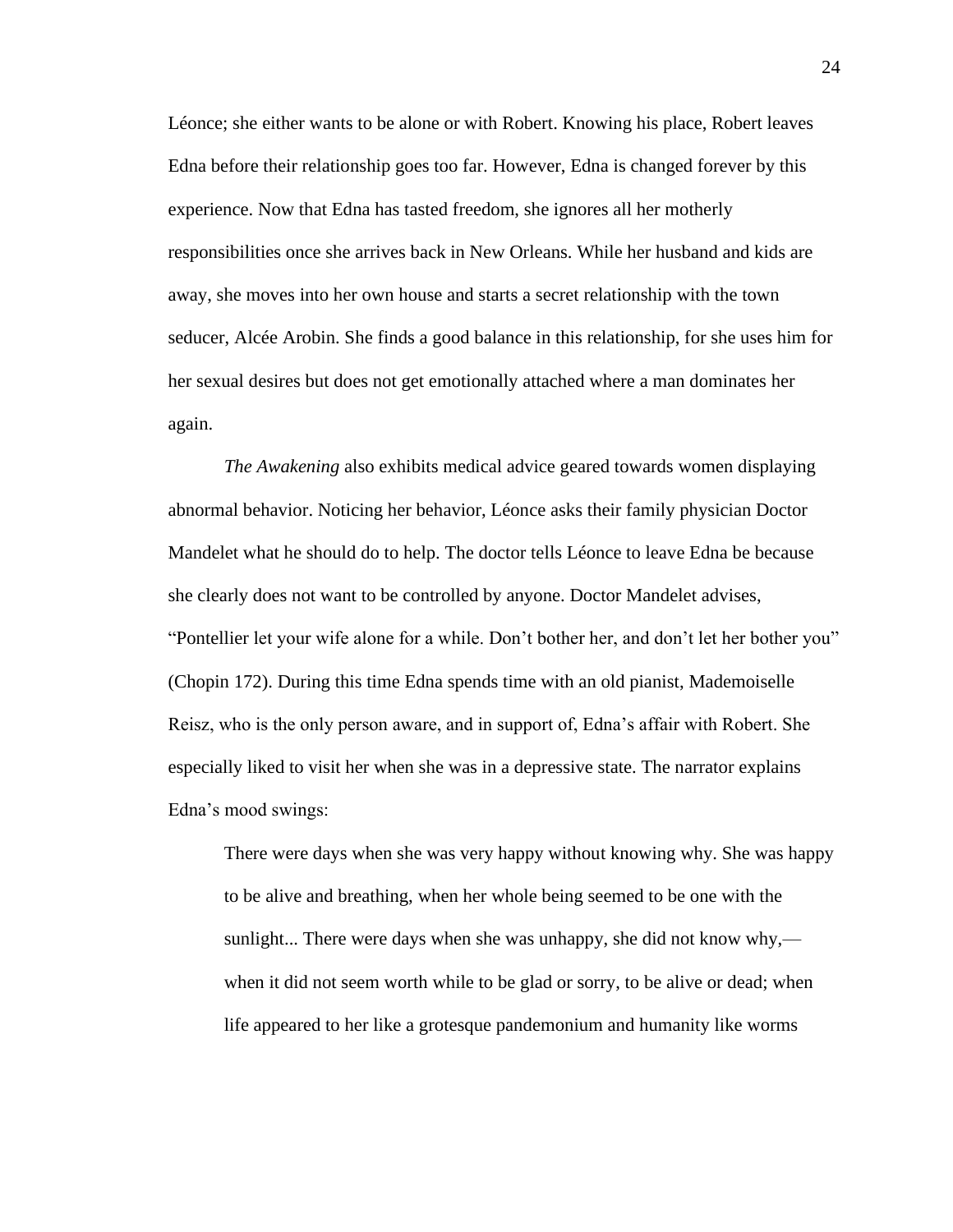Léonce; she either wants to be alone or with Robert. Knowing his place, Robert leaves Edna before their relationship goes too far. However, Edna is changed forever by this experience. Now that Edna has tasted freedom, she ignores all her motherly responsibilities once she arrives back in New Orleans. While her husband and kids are away, she moves into her own house and starts a secret relationship with the town seducer, Alcée Arobin. She finds a good balance in this relationship, for she uses him for her sexual desires but does not get emotionally attached where a man dominates her again.

*The Awakening* also exhibits medical advice geared towards women displaying abnormal behavior. Noticing her behavior, Léonce asks their family physician Doctor Mandelet what he should do to help. The doctor tells Léonce to leave Edna be because she clearly does not want to be controlled by anyone. Doctor Mandelet advises, "Pontellier let your wife alone for a while. Don't bother her, and don't let her bother you" (Chopin 172). During this time Edna spends time with an old pianist, Mademoiselle Reisz, who is the only person aware, and in support of, Edna's affair with Robert. She especially liked to visit her when she was in a depressive state. The narrator explains Edna's mood swings:

There were days when she was very happy without knowing why. She was happy to be alive and breathing, when her whole being seemed to be one with the sunlight... There were days when she was unhappy, she did not know why, when it did not seem worth while to be glad or sorry, to be alive or dead; when life appeared to her like a grotesque pandemonium and humanity like worms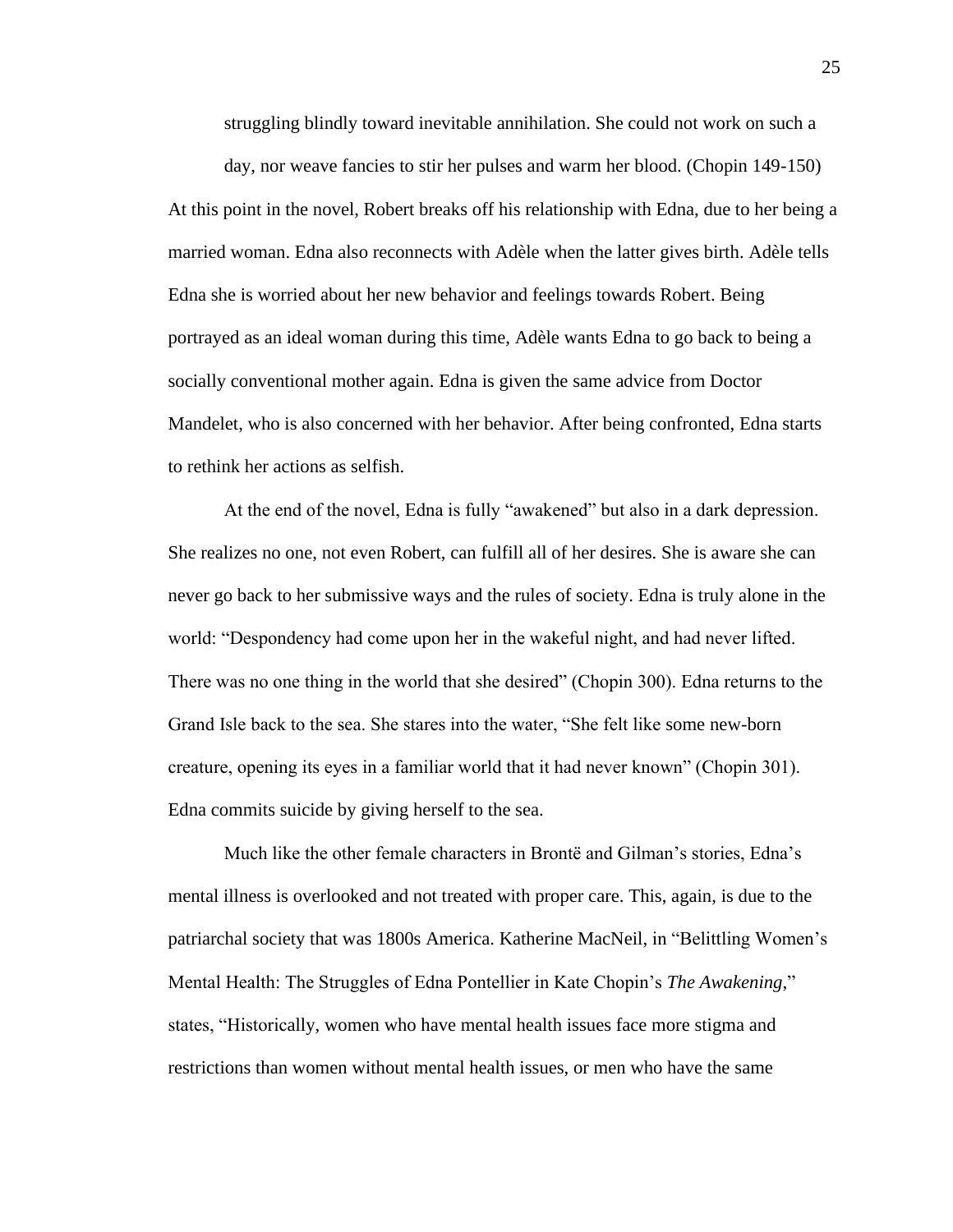struggling blindly toward inevitable annihilation. She could not work on such a

day, nor weave fancies to stir her pulses and warm her blood. (Chopin 149-150) At this point in the novel, Robert breaks off his relationship with Edna, due to her being a married woman. Edna also reconnects with Adèle when the latter gives birth. Adèle tells Edna she is worried about her new behavior and feelings towards Robert. Being portrayed as an ideal woman during this time, Adèle wants Edna to go back to being a socially conventional mother again. Edna is given the same advice from Doctor Mandelet, who is also concerned with her behavior. After being confronted, Edna starts to rethink her actions as selfish.

At the end of the novel, Edna is fully "awakened" but also in a dark depression. She realizes no one, not even Robert, can fulfill all of her desires. She is aware she can never go back to her submissive ways and the rules of society. Edna is truly alone in the world: "Despondency had come upon her in the wakeful night, and had never lifted. There was no one thing in the world that she desired" (Chopin 300). Edna returns to the Grand Isle back to the sea. She stares into the water, "She felt like some new-born creature, opening its eyes in a familiar world that it had never known" (Chopin 301). Edna commits suicide by giving herself to the sea.

Much like the other female characters in Brontë and Gilman's stories, Edna's mental illness is overlooked and not treated with proper care. This, again, is due to the patriarchal society that was 1800s America. Katherine MacNeil, in "Belittling Women's Mental Health: The Struggles of Edna Pontellier in Kate Chopin's *The Awakening*," states, "Historically, women who have mental health issues face more stigma and restrictions than women without mental health issues, or men who have the same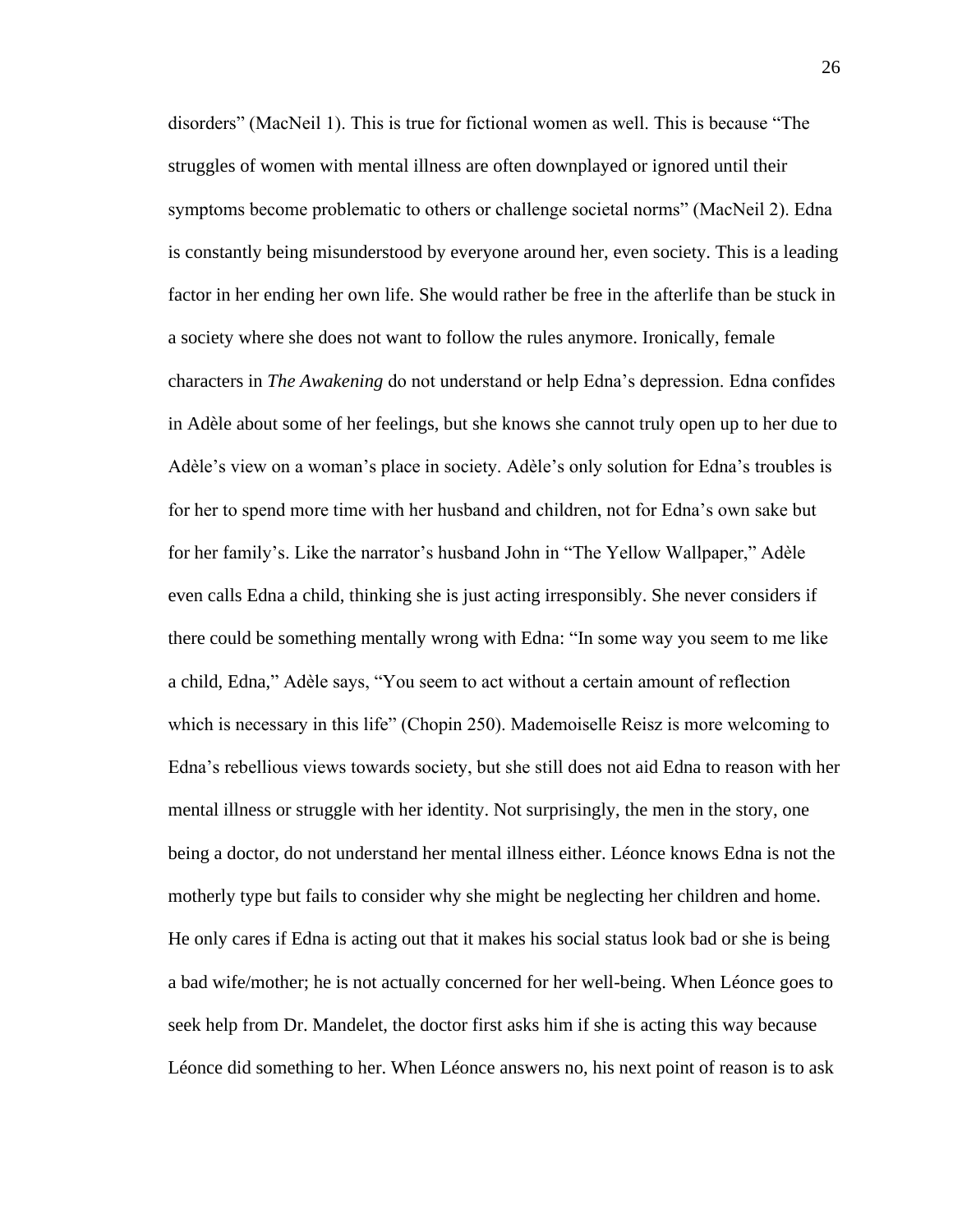disorders" (MacNeil 1). This is true for fictional women as well. This is because "The struggles of women with mental illness are often downplayed or ignored until their symptoms become problematic to others or challenge societal norms" (MacNeil 2). Edna is constantly being misunderstood by everyone around her, even society. This is a leading factor in her ending her own life. She would rather be free in the afterlife than be stuck in a society where she does not want to follow the rules anymore. Ironically, female characters in *The Awakening* do not understand or help Edna's depression. Edna confides in Adèle about some of her feelings, but she knows she cannot truly open up to her due to Adèle's view on a woman's place in society. Adèle's only solution for Edna's troubles is for her to spend more time with her husband and children, not for Edna's own sake but for her family's. Like the narrator's husband John in "The Yellow Wallpaper," Adèle even calls Edna a child, thinking she is just acting irresponsibly. She never considers if there could be something mentally wrong with Edna: "In some way you seem to me like a child, Edna," Adèle says, "You seem to act without a certain amount of reflection which is necessary in this life" (Chopin 250). Mademoiselle Reisz is more welcoming to Edna's rebellious views towards society, but she still does not aid Edna to reason with her mental illness or struggle with her identity. Not surprisingly, the men in the story, one being a doctor, do not understand her mental illness either. Léonce knows Edna is not the motherly type but fails to consider why she might be neglecting her children and home. He only cares if Edna is acting out that it makes his social status look bad or she is being a bad wife/mother; he is not actually concerned for her well-being. When Léonce goes to seek help from Dr. Mandelet, the doctor first asks him if she is acting this way because Léonce did something to her. When Léonce answers no, his next point of reason is to ask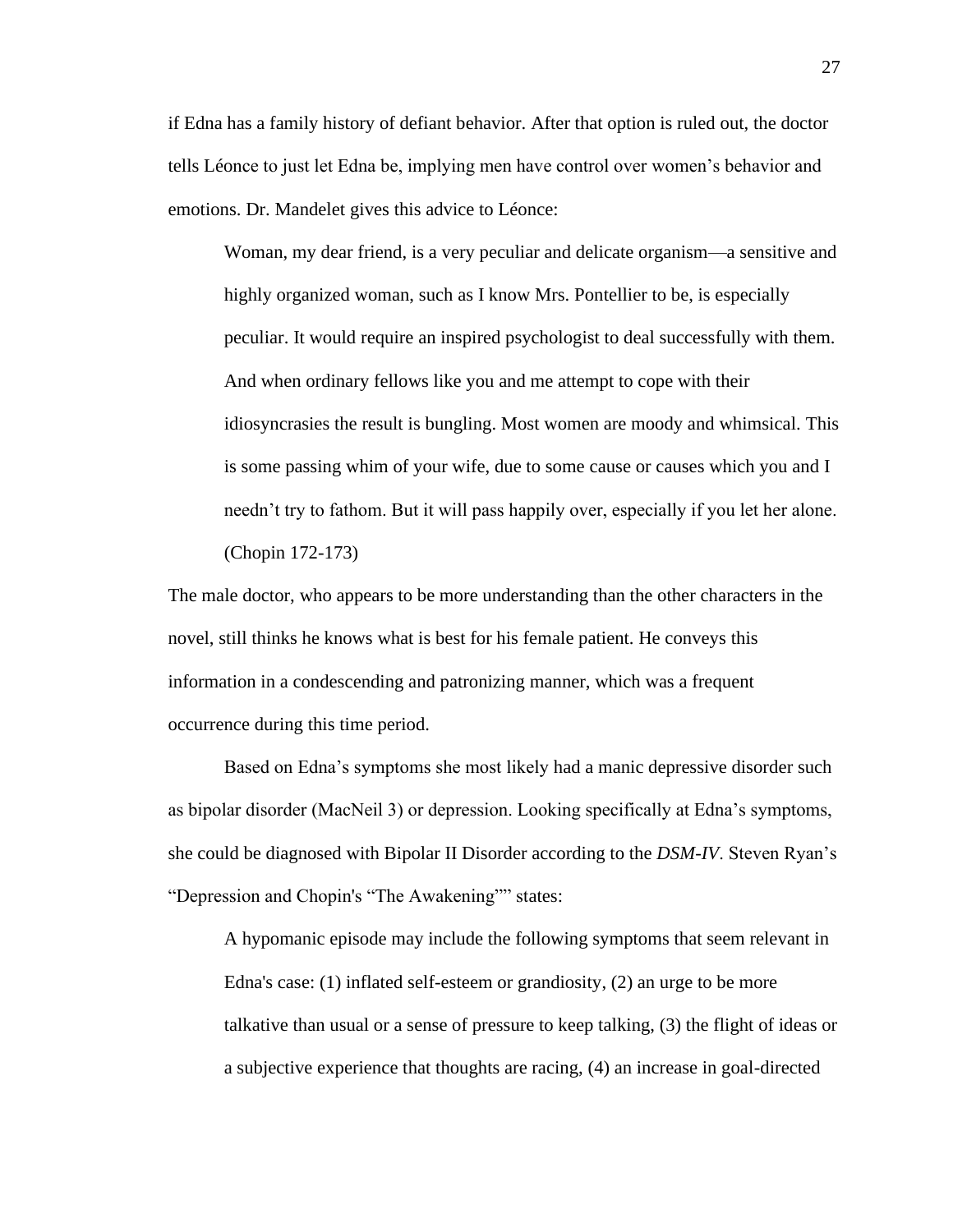if Edna has a family history of defiant behavior. After that option is ruled out, the doctor tells Léonce to just let Edna be, implying men have control over women's behavior and emotions. Dr. Mandelet gives this advice to Léonce:

Woman, my dear friend, is a very peculiar and delicate organism—a sensitive and highly organized woman, such as I know Mrs. Pontellier to be, is especially peculiar. It would require an inspired psychologist to deal successfully with them. And when ordinary fellows like you and me attempt to cope with their idiosyncrasies the result is bungling. Most women are moody and whimsical. This is some passing whim of your wife, due to some cause or causes which you and I needn't try to fathom. But it will pass happily over, especially if you let her alone. (Chopin 172-173)

The male doctor, who appears to be more understanding than the other characters in the novel, still thinks he knows what is best for his female patient. He conveys this information in a condescending and patronizing manner, which was a frequent occurrence during this time period.

Based on Edna's symptoms she most likely had a manic depressive disorder such as bipolar disorder (MacNeil 3) or depression. Looking specifically at Edna's symptoms, she could be diagnosed with Bipolar II Disorder according to the *DSM-IV*. Steven Ryan's "Depression and Chopin's "The Awakening"" states:

A hypomanic episode may include the following symptoms that seem relevant in Edna's case: (1) inflated self-esteem or grandiosity, (2) an urge to be more talkative than usual or a sense of pressure to keep talking, (3) the flight of ideas or a subjective experience that thoughts are racing, (4) an increase in goal-directed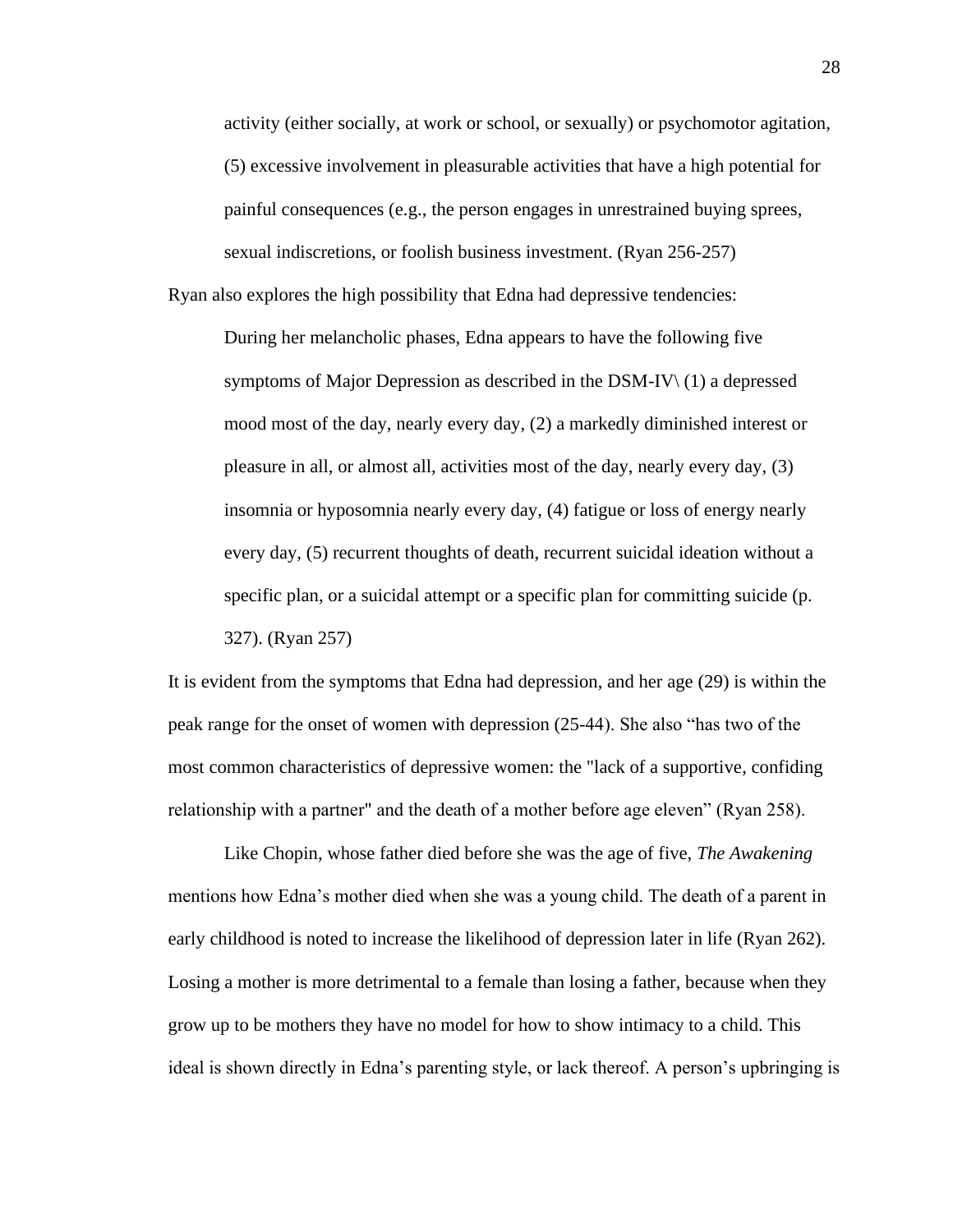activity (either socially, at work or school, or sexually) or psychomotor agitation, (5) excessive involvement in pleasurable activities that have a high potential for painful consequences (e.g., the person engages in unrestrained buying sprees, sexual indiscretions, or foolish business investment. (Ryan 256-257)

Ryan also explores the high possibility that Edna had depressive tendencies:

During her melancholic phases, Edna appears to have the following five symptoms of Major Depression as described in the DSM-IV\ (1) a depressed mood most of the day, nearly every day, (2) a markedly diminished interest or pleasure in all, or almost all, activities most of the day, nearly every day, (3) insomnia or hyposomnia nearly every day, (4) fatigue or loss of energy nearly every day, (5) recurrent thoughts of death, recurrent suicidal ideation without a specific plan, or a suicidal attempt or a specific plan for committing suicide (p. 327). (Ryan 257)

It is evident from the symptoms that Edna had depression, and her age (29) is within the peak range for the onset of women with depression (25-44). She also "has two of the most common characteristics of depressive women: the "lack of a supportive, confiding relationship with a partner" and the death of a mother before age eleven" (Ryan 258).

Like Chopin, whose father died before she was the age of five, *The Awakening* mentions how Edna's mother died when she was a young child. The death of a parent in early childhood is noted to increase the likelihood of depression later in life (Ryan 262). Losing a mother is more detrimental to a female than losing a father, because when they grow up to be mothers they have no model for how to show intimacy to a child. This ideal is shown directly in Edna's parenting style, or lack thereof. A person's upbringing is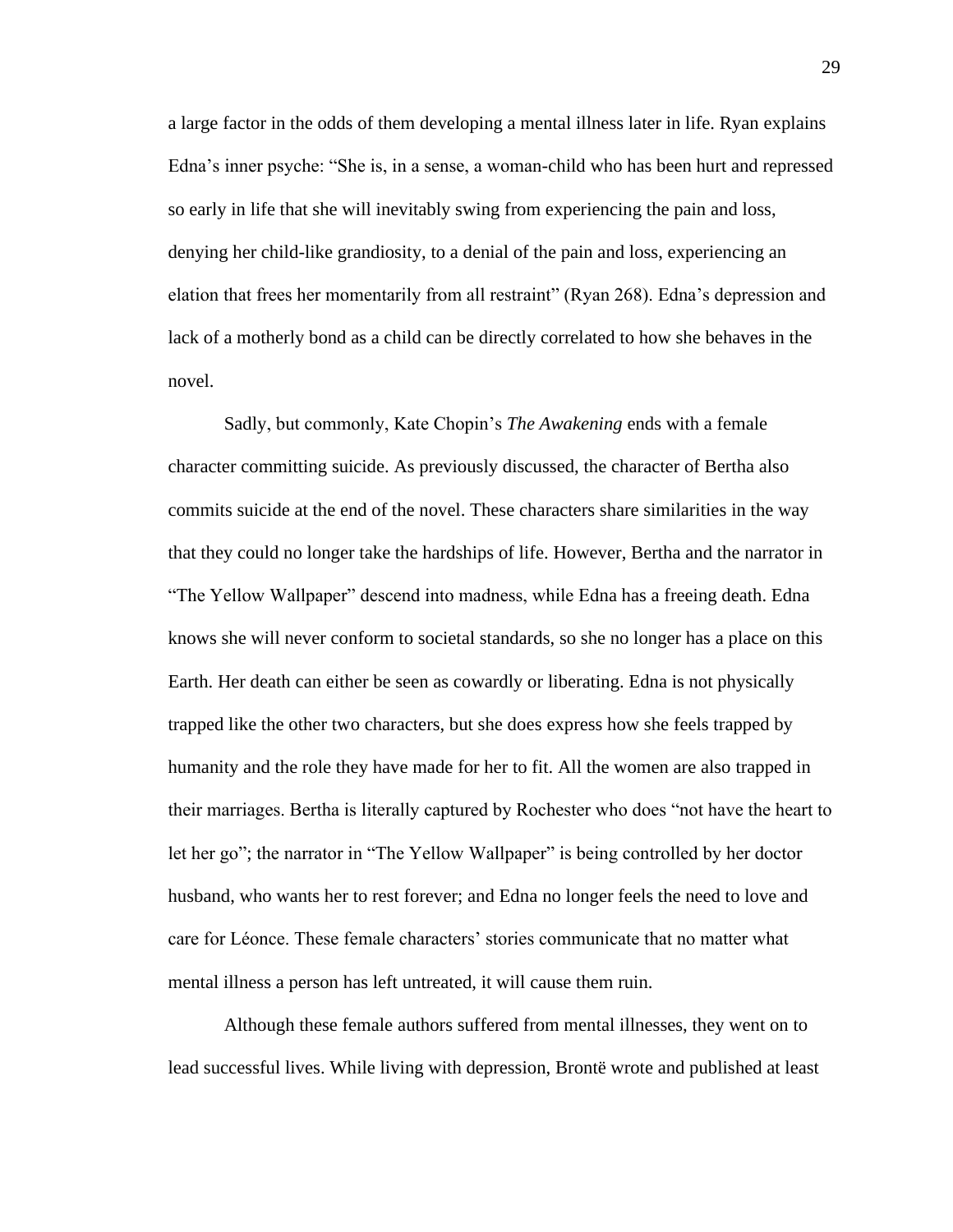a large factor in the odds of them developing a mental illness later in life. Ryan explains Edna's inner psyche: "She is, in a sense, a woman-child who has been hurt and repressed so early in life that she will inevitably swing from experiencing the pain and loss, denying her child-like grandiosity, to a denial of the pain and loss, experiencing an elation that frees her momentarily from all restraint" (Ryan 268). Edna's depression and lack of a motherly bond as a child can be directly correlated to how she behaves in the novel.

Sadly, but commonly, Kate Chopin's *The Awakening* ends with a female character committing suicide. As previously discussed, the character of Bertha also commits suicide at the end of the novel. These characters share similarities in the way that they could no longer take the hardships of life. However, Bertha and the narrator in "The Yellow Wallpaper" descend into madness, while Edna has a freeing death. Edna knows she will never conform to societal standards, so she no longer has a place on this Earth. Her death can either be seen as cowardly or liberating. Edna is not physically trapped like the other two characters, but she does express how she feels trapped by humanity and the role they have made for her to fit. All the women are also trapped in their marriages. Bertha is literally captured by Rochester who does "not have the heart to let her go"; the narrator in "The Yellow Wallpaper" is being controlled by her doctor husband, who wants her to rest forever; and Edna no longer feels the need to love and care for Léonce. These female characters' stories communicate that no matter what mental illness a person has left untreated, it will cause them ruin.

Although these female authors suffered from mental illnesses, they went on to lead successful lives. While living with depression, Brontë wrote and published at least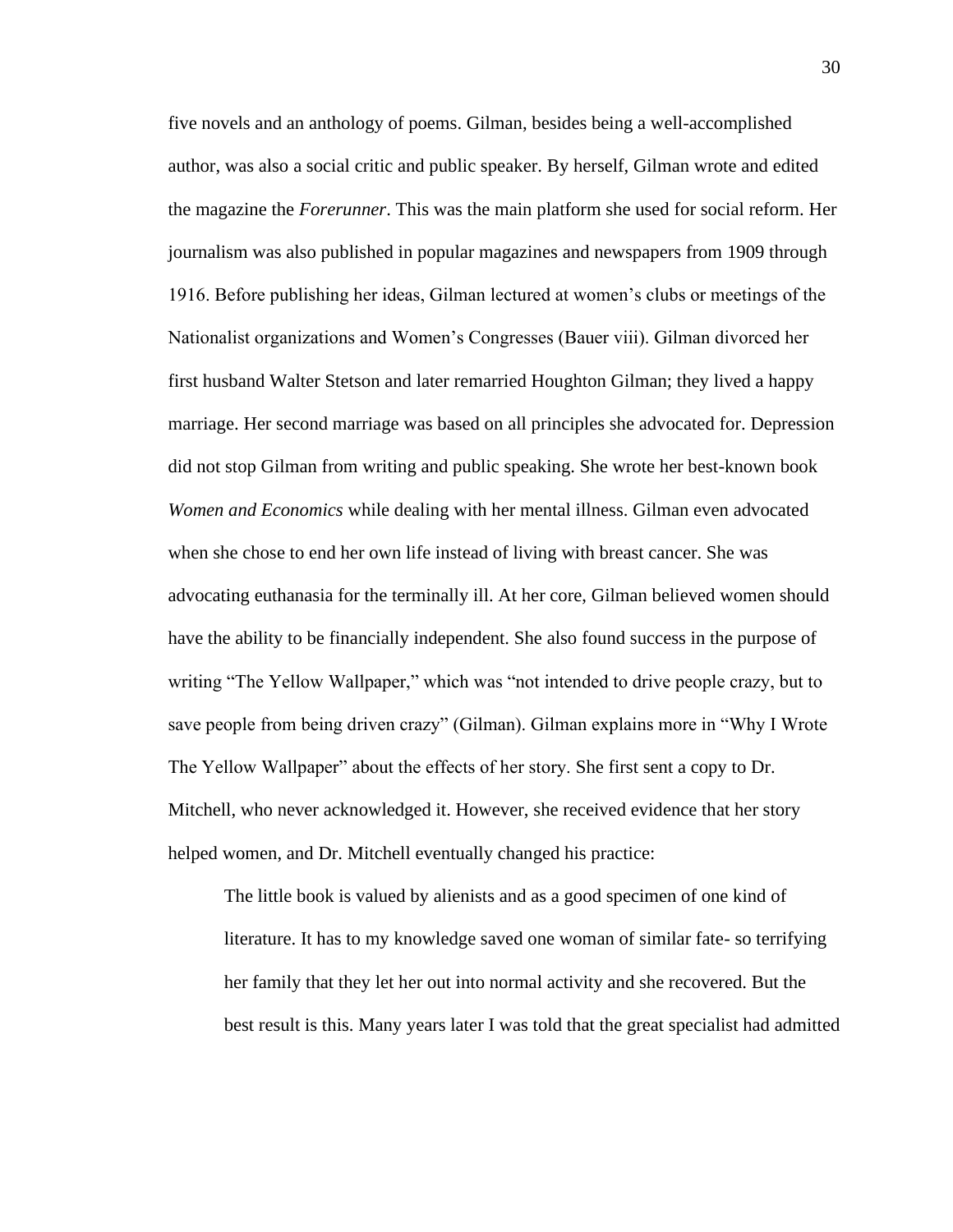five novels and an anthology of poems. Gilman, besides being a well-accomplished author, was also a social critic and public speaker. By herself, Gilman wrote and edited the magazine the *Forerunner*. This was the main platform she used for social reform. Her journalism was also published in popular magazines and newspapers from 1909 through 1916. Before publishing her ideas, Gilman lectured at women's clubs or meetings of the Nationalist organizations and Women's Congresses (Bauer viii). Gilman divorced her first husband Walter Stetson and later remarried Houghton Gilman; they lived a happy marriage. Her second marriage was based on all principles she advocated for. Depression did not stop Gilman from writing and public speaking. She wrote her best-known book *Women and Economics* while dealing with her mental illness. Gilman even advocated when she chose to end her own life instead of living with breast cancer. She was advocating euthanasia for the terminally ill. At her core, Gilman believed women should have the ability to be financially independent. She also found success in the purpose of writing "The Yellow Wallpaper," which was "not intended to drive people crazy, but to save people from being driven crazy" (Gilman). Gilman explains more in "Why I Wrote The Yellow Wallpaper" about the effects of her story. She first sent a copy to Dr. Mitchell, who never acknowledged it. However, she received evidence that her story helped women, and Dr. Mitchell eventually changed his practice:

The little book is valued by alienists and as a good specimen of one kind of literature. It has to my knowledge saved one woman of similar fate- so terrifying her family that they let her out into normal activity and she recovered. But the best result is this. Many years later I was told that the great specialist had admitted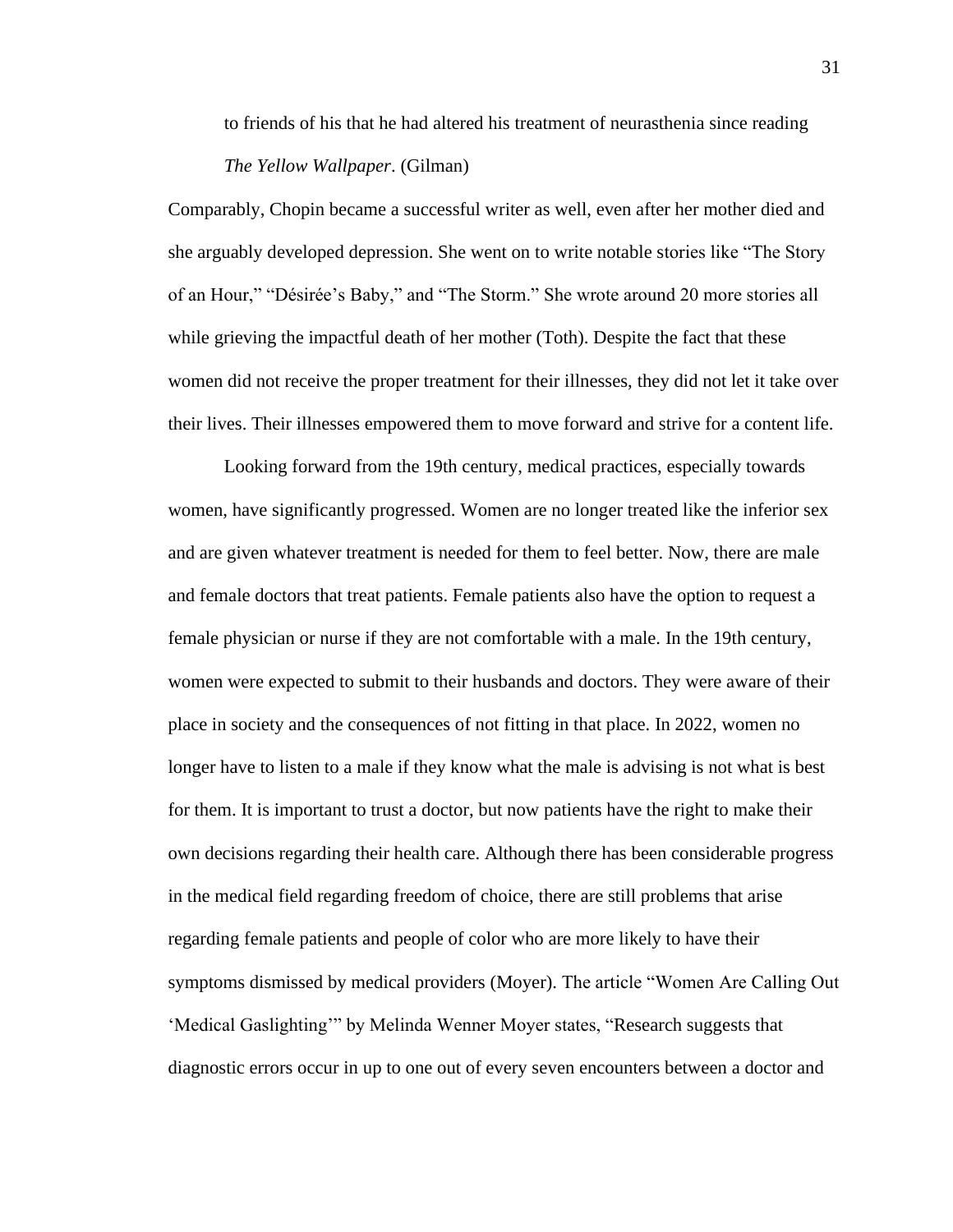to friends of his that he had altered his treatment of neurasthenia since reading *The Yellow Wallpaper*. (Gilman)

Comparably, Chopin became a successful writer as well, even after her mother died and she arguably developed depression. She went on to write notable stories like "The Story of an Hour," "Désirée's Baby," and "The Storm." She wrote around 20 more stories all while grieving the impactful death of her mother (Toth). Despite the fact that these women did not receive the proper treatment for their illnesses, they did not let it take over their lives. Their illnesses empowered them to move forward and strive for a content life.

Looking forward from the 19th century, medical practices, especially towards women, have significantly progressed. Women are no longer treated like the inferior sex and are given whatever treatment is needed for them to feel better. Now, there are male and female doctors that treat patients. Female patients also have the option to request a female physician or nurse if they are not comfortable with a male. In the 19th century, women were expected to submit to their husbands and doctors. They were aware of their place in society and the consequences of not fitting in that place. In 2022, women no longer have to listen to a male if they know what the male is advising is not what is best for them. It is important to trust a doctor, but now patients have the right to make their own decisions regarding their health care. Although there has been considerable progress in the medical field regarding freedom of choice, there are still problems that arise regarding female patients and people of color who are more likely to have their symptoms dismissed by medical providers (Moyer). The article "Women Are Calling Out 'Medical Gaslighting'" by Melinda Wenner Moyer states, "Research suggests that diagnostic errors occur in up to one out of every seven encounters between a doctor and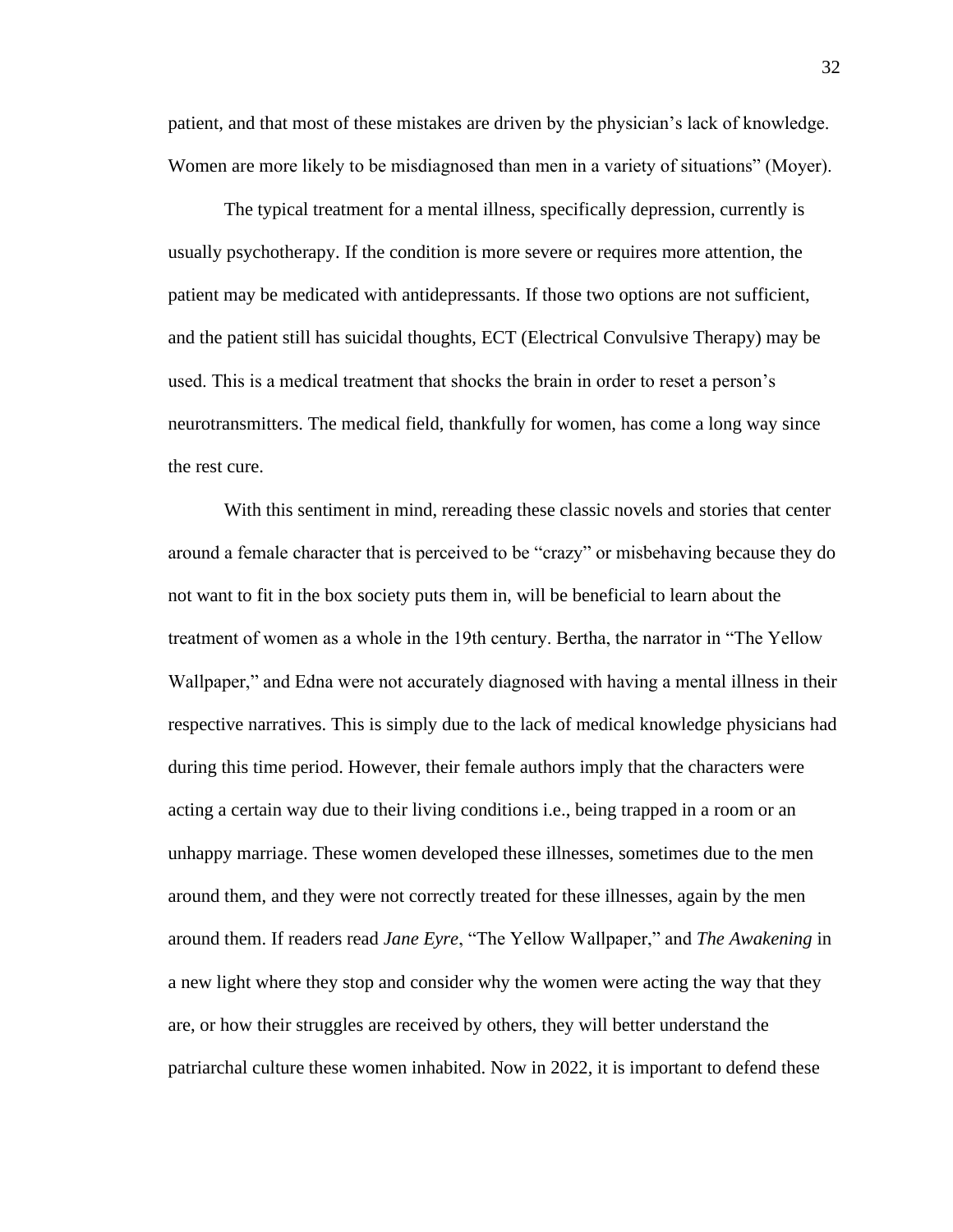patient, and that most of these mistakes are driven by the physician's lack of knowledge. Women are more likely to be misdiagnosed than men in a variety of situations" (Moyer).

The typical treatment for a mental illness, specifically depression, currently is usually psychotherapy. If the condition is more severe or requires more attention, the patient may be medicated with antidepressants. If those two options are not sufficient, and the patient still has suicidal thoughts, ECT (Electrical Convulsive Therapy) may be used. This is a medical treatment that shocks the brain in order to reset a person's neurotransmitters. The medical field, thankfully for women, has come a long way since the rest cure.

With this sentiment in mind, rereading these classic novels and stories that center around a female character that is perceived to be "crazy" or misbehaving because they do not want to fit in the box society puts them in, will be beneficial to learn about the treatment of women as a whole in the 19th century. Bertha, the narrator in "The Yellow Wallpaper," and Edna were not accurately diagnosed with having a mental illness in their respective narratives. This is simply due to the lack of medical knowledge physicians had during this time period. However, their female authors imply that the characters were acting a certain way due to their living conditions i.e., being trapped in a room or an unhappy marriage. These women developed these illnesses, sometimes due to the men around them, and they were not correctly treated for these illnesses, again by the men around them. If readers read *Jane Eyre*, "The Yellow Wallpaper," and *The Awakening* in a new light where they stop and consider why the women were acting the way that they are, or how their struggles are received by others, they will better understand the patriarchal culture these women inhabited. Now in 2022, it is important to defend these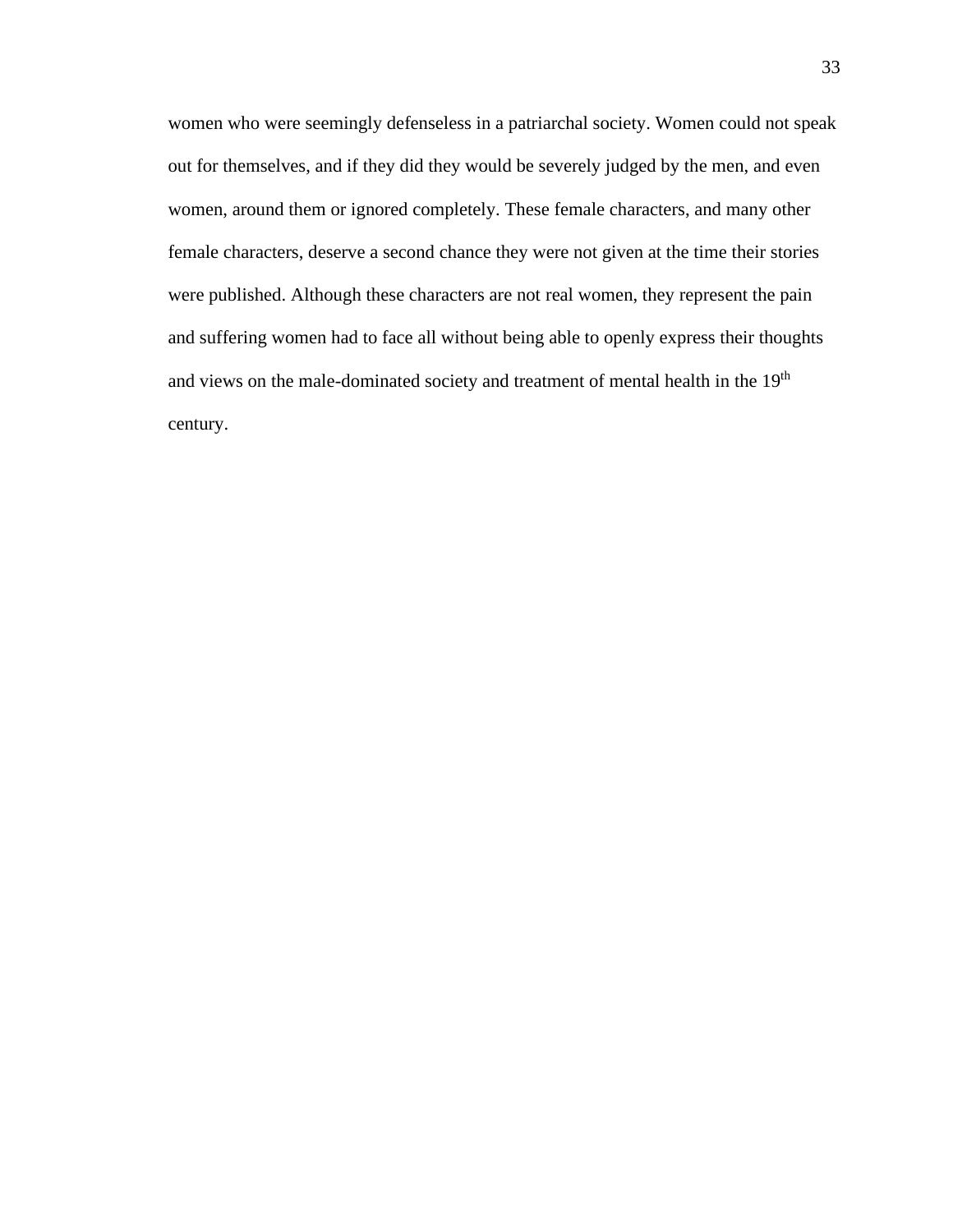women who were seemingly defenseless in a patriarchal society. Women could not speak out for themselves, and if they did they would be severely judged by the men, and even women, around them or ignored completely. These female characters, and many other female characters, deserve a second chance they were not given at the time their stories were published. Although these characters are not real women, they represent the pain and suffering women had to face all without being able to openly express their thoughts and views on the male-dominated society and treatment of mental health in the 19<sup>th</sup> century.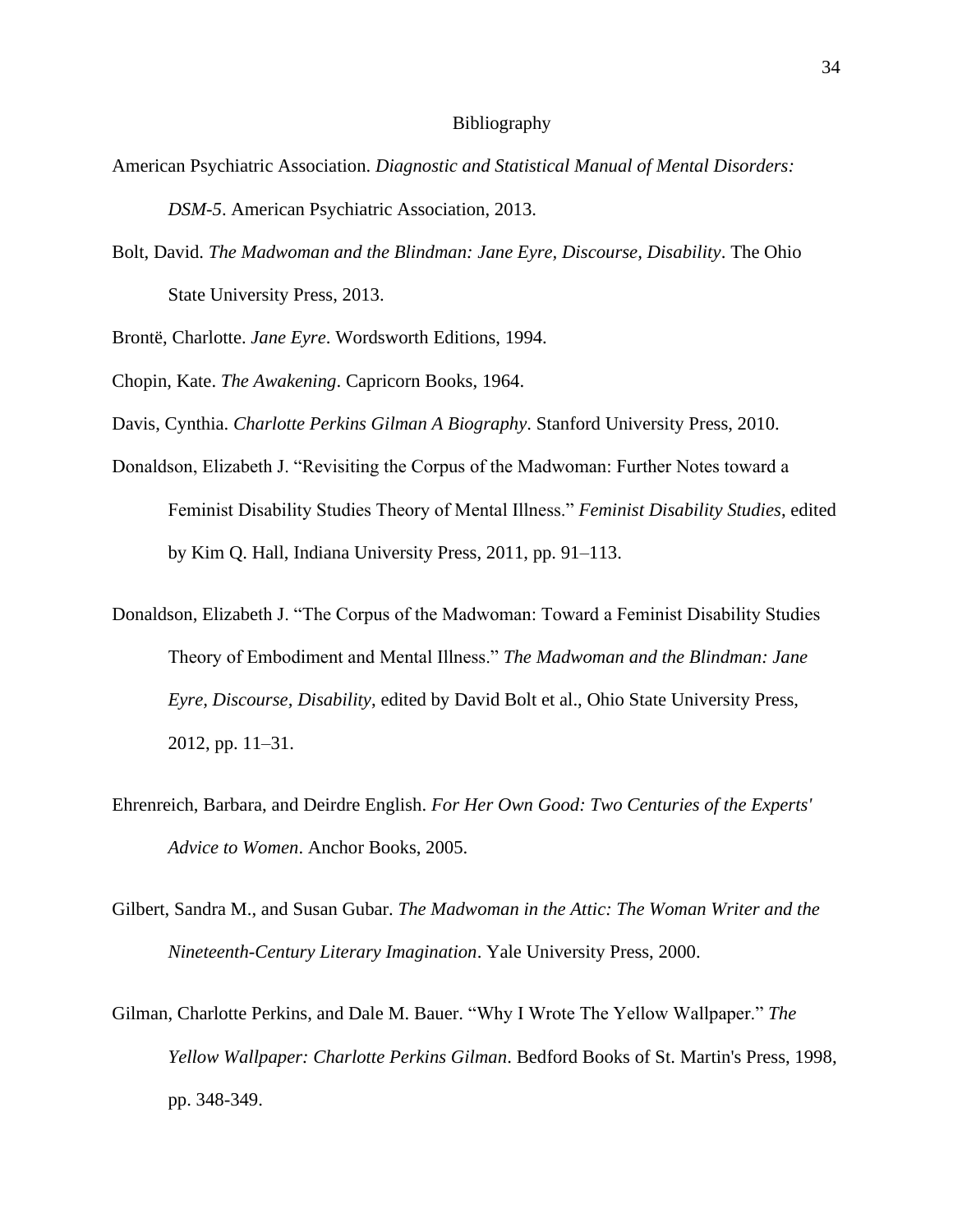#### Bibliography

- American Psychiatric Association. *Diagnostic and Statistical Manual of Mental Disorders: DSM-5*. American Psychiatric Association, 2013.
- Bolt, David. *The Madwoman and the Blindman: Jane Eyre, Discourse, Disability*. The Ohio State University Press, 2013.

Brontë, Charlotte. *Jane Eyre*. Wordsworth Editions, 1994.

Chopin, Kate. *The Awakening*. Capricorn Books, 1964.

Davis, Cynthia. *Charlotte Perkins Gilman A Biography*. Stanford University Press, 2010.

- Donaldson, Elizabeth J. "Revisiting the Corpus of the Madwoman: Further Notes toward a Feminist Disability Studies Theory of Mental Illness." *Feminist Disability Studies*, edited by Kim Q. Hall, Indiana University Press, 2011, pp. 91–113.
- Donaldson, Elizabeth J. "The Corpus of the Madwoman: Toward a Feminist Disability Studies Theory of Embodiment and Mental Illness." *The Madwoman and the Blindman: Jane Eyre, Discourse, Disability*, edited by David Bolt et al., Ohio State University Press, 2012, pp. 11–31.
- Ehrenreich, Barbara, and Deirdre English. *For Her Own Good: Two Centuries of the Experts' Advice to Women*. Anchor Books, 2005.
- Gilbert, Sandra M., and Susan Gubar. *The Madwoman in the Attic: The Woman Writer and the Nineteenth-Century Literary Imagination*. Yale University Press, 2000.
- Gilman, Charlotte Perkins, and Dale M. Bauer. "Why I Wrote The Yellow Wallpaper." *The Yellow Wallpaper: Charlotte Perkins Gilman*. Bedford Books of St. Martin's Press, 1998, pp. 348-349.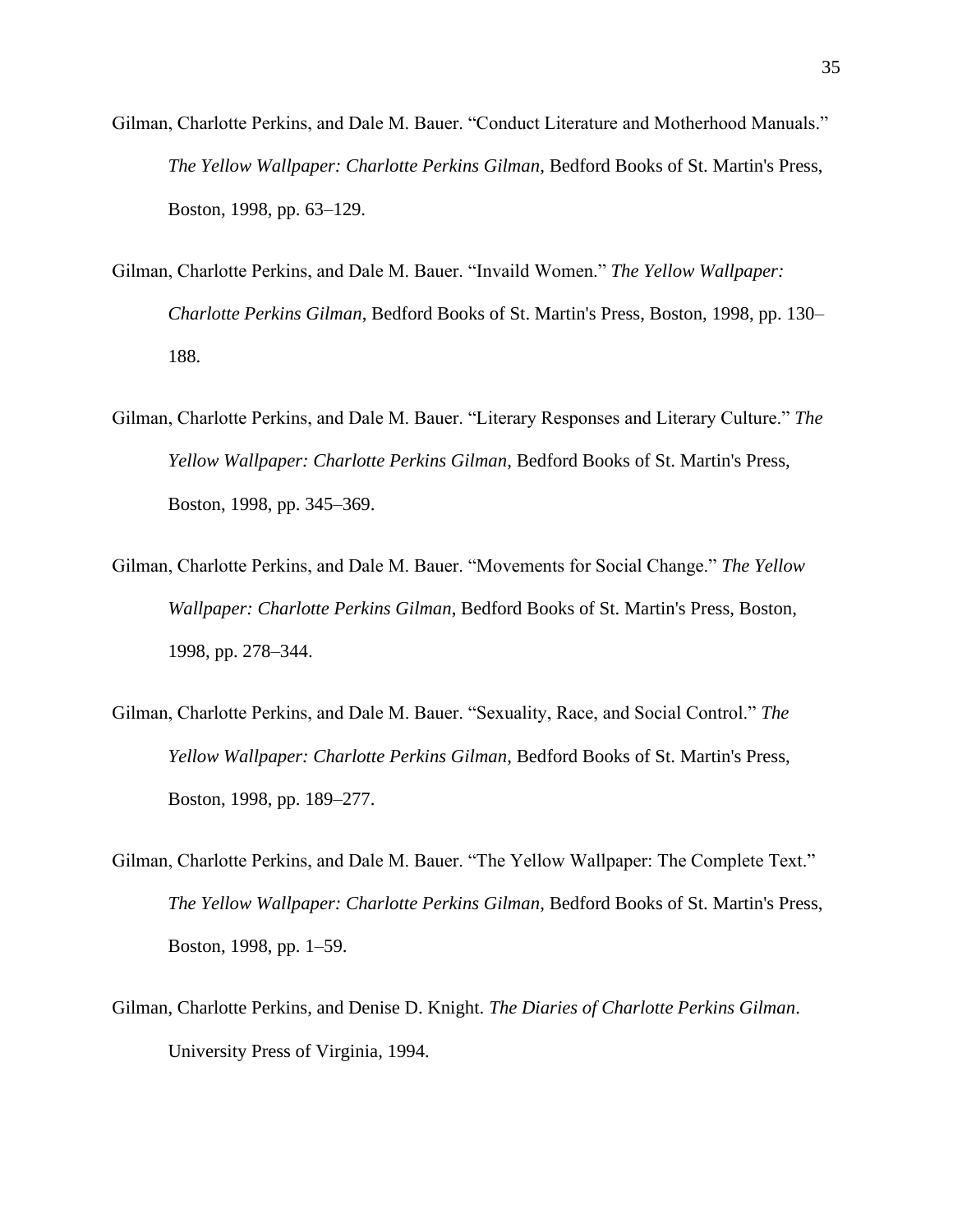- Gilman, Charlotte Perkins, and Dale M. Bauer. "Conduct Literature and Motherhood Manuals." *The Yellow Wallpaper: Charlotte Perkins Gilman*, Bedford Books of St. Martin's Press, Boston, 1998, pp. 63–129.
- Gilman, Charlotte Perkins, and Dale M. Bauer. "Invaild Women." *The Yellow Wallpaper: Charlotte Perkins Gilman*, Bedford Books of St. Martin's Press, Boston, 1998, pp. 130– 188.
- Gilman, Charlotte Perkins, and Dale M. Bauer. "Literary Responses and Literary Culture." *The Yellow Wallpaper: Charlotte Perkins Gilman*, Bedford Books of St. Martin's Press, Boston, 1998, pp. 345–369.
- Gilman, Charlotte Perkins, and Dale M. Bauer. "Movements for Social Change." *The Yellow Wallpaper: Charlotte Perkins Gilman*, Bedford Books of St. Martin's Press, Boston, 1998, pp. 278–344.
- Gilman, Charlotte Perkins, and Dale M. Bauer. "Sexuality, Race, and Social Control." *The Yellow Wallpaper: Charlotte Perkins Gilman*, Bedford Books of St. Martin's Press, Boston, 1998, pp. 189–277.
- Gilman, Charlotte Perkins, and Dale M. Bauer. "The Yellow Wallpaper: The Complete Text." *The Yellow Wallpaper: Charlotte Perkins Gilman*, Bedford Books of St. Martin's Press, Boston, 1998, pp. 1–59.
- Gilman, Charlotte Perkins, and Denise D. Knight. *The Diaries of Charlotte Perkins Gilman*. University Press of Virginia, 1994.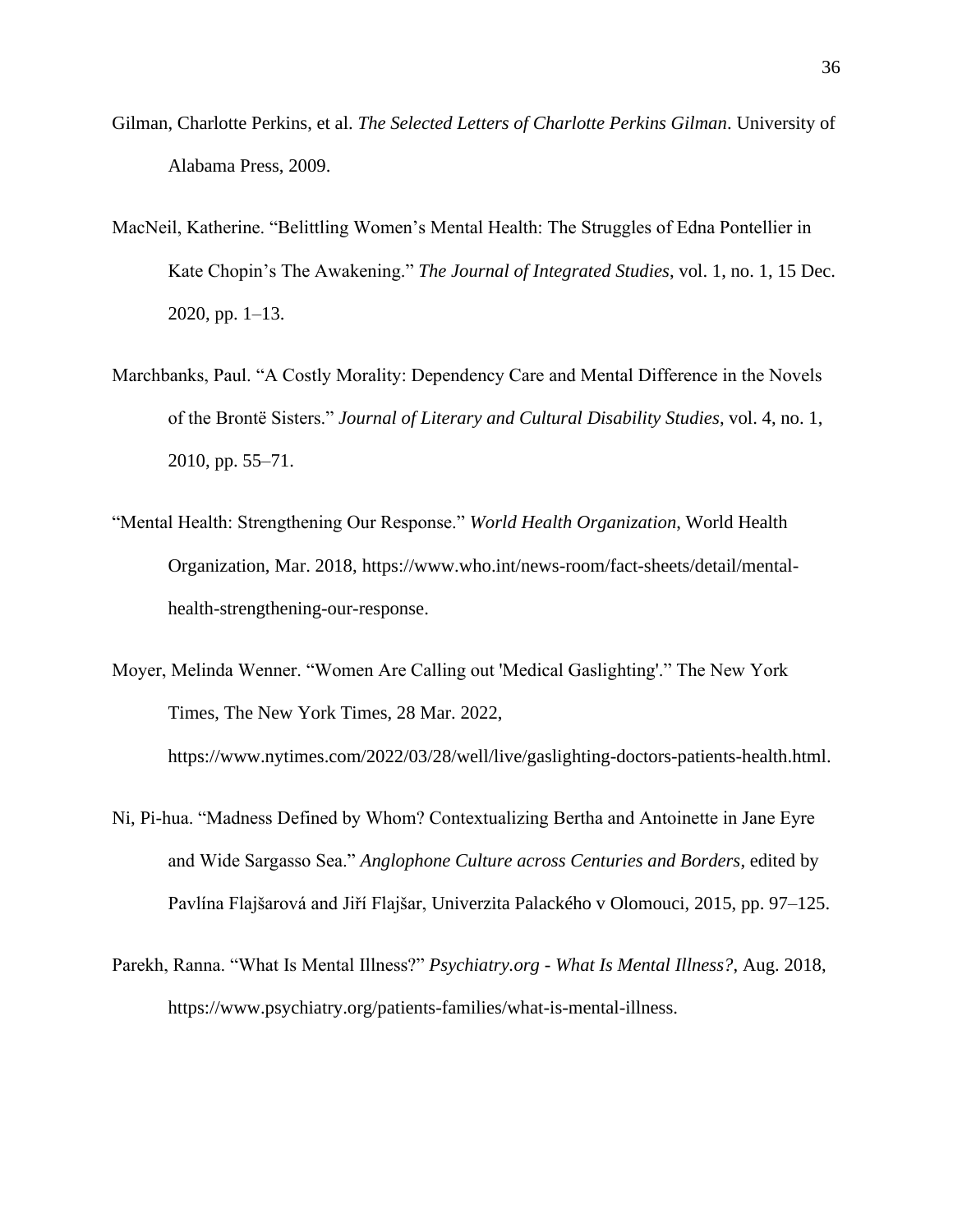- Gilman, Charlotte Perkins, et al. *The Selected Letters of Charlotte Perkins Gilman*. University of Alabama Press, 2009.
- MacNeil, Katherine. "Belittling Women's Mental Health: The Struggles of Edna Pontellier in Kate Chopin's The Awakening." *The Journal of Integrated Studies*, vol. 1, no. 1, 15 Dec. 2020, pp. 1–13.
- Marchbanks, Paul. "A Costly Morality: Dependency Care and Mental Difference in the Novels of the Brontë Sisters." *Journal of Literary and Cultural Disability Studies*, vol. 4, no. 1, 2010, pp. 55–71.
- "Mental Health: Strengthening Our Response." *World Health Organization*, World Health Organization, Mar. 2018, https://www.who.int/news-room/fact-sheets/detail/mentalhealth-strengthening-our-response.
- Moyer, Melinda Wenner. "Women Are Calling out 'Medical Gaslighting'." The New York Times, The New York Times, 28 Mar. 2022, https://www.nytimes.com/2022/03/28/well/live/gaslighting-doctors-patients-health.html.
- Ni, Pi-hua. "Madness Defined by Whom? Contextualizing Bertha and Antoinette in Jane Eyre and Wide Sargasso Sea." *Anglophone Culture across Centuries and Borders*, edited by Pavlína Flajšarová and Jiří Flajšar, Univerzita Palackého v Olomouci, 2015, pp. 97–125.
- Parekh, Ranna. "What Is Mental Illness?" *Psychiatry.org - What Is Mental Illness?*, Aug. 2018, https://www.psychiatry.org/patients-families/what-is-mental-illness.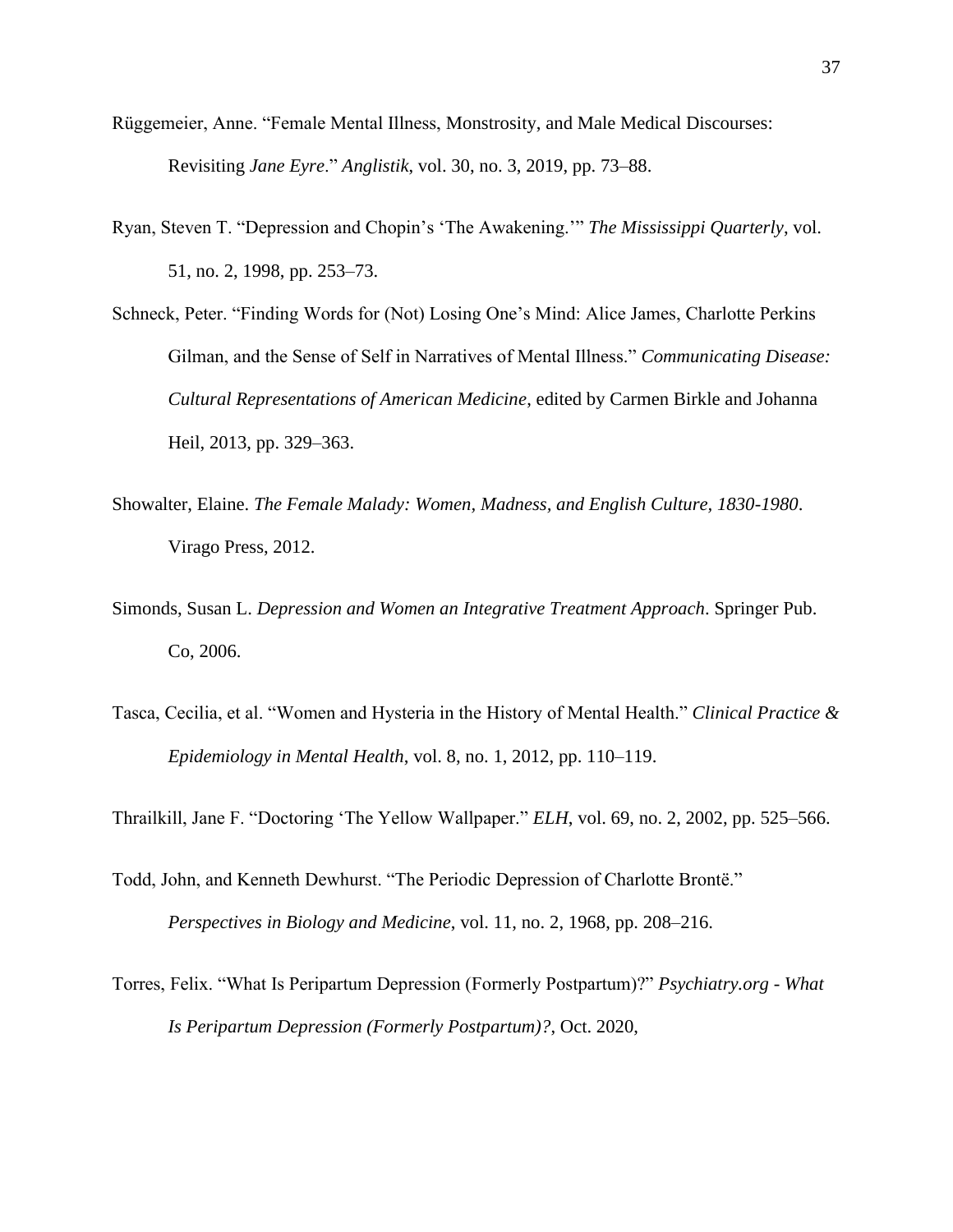- Rüggemeier, Anne. "Female Mental Illness, Monstrosity, and Male Medical Discourses: Revisiting *Jane Eyre*." *Anglistik*, vol. 30, no. 3, 2019, pp. 73–88.
- Ryan, Steven T. "Depression and Chopin's 'The Awakening.'" *The Mississippi Quarterly*, vol. 51, no. 2, 1998, pp. 253–73.
- Schneck, Peter. "Finding Words for (Not) Losing One's Mind: Alice James, Charlotte Perkins Gilman, and the Sense of Self in Narratives of Mental Illness." *Communicating Disease: Cultural Representations of American Medicine*, edited by Carmen Birkle and Johanna Heil, 2013, pp. 329–363.
- Showalter, Elaine. *The Female Malady: Women, Madness, and English Culture, 1830-1980*. Virago Press, 2012.
- Simonds, Susan L. *Depression and Women an Integrative Treatment Approach*. Springer Pub. Co, 2006.
- Tasca, Cecilia, et al. "Women and Hysteria in the History of Mental Health." *Clinical Practice & Epidemiology in Mental Health*, vol. 8, no. 1, 2012, pp. 110–119.

Thrailkill, Jane F. "Doctoring 'The Yellow Wallpaper." *ELH*, vol. 69, no. 2, 2002, pp. 525–566.

- Todd, John, and Kenneth Dewhurst. "The Periodic Depression of Charlotte Brontë." *Perspectives in Biology and Medicine*, vol. 11, no. 2, 1968, pp. 208–216.
- Torres, Felix. "What Is Peripartum Depression (Formerly Postpartum)?" *Psychiatry.org - What Is Peripartum Depression (Formerly Postpartum)?*, Oct. 2020,